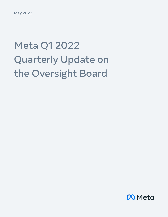May 2022

# Meta Q1 2022 Quarterly Update on the Oversight Board

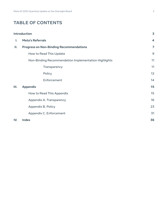## **TABLE OF CONTENTS**

|     | <b>Introduction</b>                                  | $\overline{\mathbf{3}}$ |
|-----|------------------------------------------------------|-------------------------|
| Ι.  | <b>Meta's Referrals</b>                              | $\overline{\mathbf{4}}$ |
| Ш.  | <b>Progress on Non-Binding Recommendations</b>       | $\overline{7}$          |
|     | How to Read This Update                              | 9                       |
|     | Non-Binding Recommendation Implementation Highlights | 11                      |
|     | Transparency                                         | 11                      |
|     | Policy                                               | 12                      |
|     | Enforcement                                          | 14                      |
| Ш.  | <b>Appendix</b>                                      | 15                      |
|     | How to Read This Appendix                            | 15                      |
|     | Appendix A. Transparency                             | 16                      |
|     | Appendix B. Policy                                   | 23                      |
|     | Appendix C. Enforcement                              | 31                      |
| IV. | <b>Index</b>                                         | 36                      |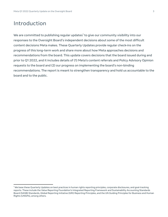## <span id="page-2-0"></span>Introduction

We are committed to publishing regular updates<sup>1</sup> to give our community visibility into our responses to the Oversight Board's independent decisions about some of the most difficult content decisions Meta makes. These Quarterly Updates provide regular check-ins on the progress of this long-term work and share more about how Meta approaches decisions and recommendations from the board. This update covers decisions that the board issued during and prior to Q1 2022, and it includes details of (1) Meta's content referrals and Policy Advisory Opinion requests to the board and (2) our progress on implementing the board's non-binding recommendations. The report is meant to strengthen transparency and hold us accountable to the board and to the public.

<sup>&</sup>lt;sup>1</sup> We base these Quarterly Updates on best practices in human rights reporting principles, corporate disclosures, and goal-tracking reports. These include the Value Reporting Foundation's Integrated Reporting Framework and Sustainability Accounting Standards Board (SASB) Standards, Global Reporting Initiative (GRI) Reporting Principles, and the UN Guiding Principles for Business and Human Rights (UNGPs), among others.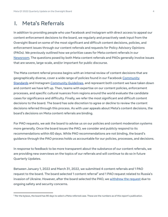# <span id="page-3-0"></span>I. Meta's Referrals

In addition to providing people who use Facebook and Instagram with direct access to appeal our content enforcement decisions to the board, we regularly and proactively seek input from the Oversight Board on some of the most significant and difficult content decisions, policies, and enforcement issues through our content referrals and requests for Policy Advisory Opinions (PAOs). We previously outlined how we prioritize cases for Meta content referrals in our [Newsroom.](https://about.fb.com/news/2019/09/oversight-board-structure/) The questions posed by both Meta content referrals and PAOs generally involve issues that are severe, large-scale, and/or important for public discourse.

The Meta content referral process begins with an internal review of content decisions that are geographically diverse, cover a wide range of policies found in our Facebook [Community](https://transparency.fb.com/policies/community-standards/) [Standards](https://transparency.fb.com/policies/community-standards/) and Instagram [Community Guidelines,](https://www.facebook.com/help/instagram/477434105621119) and represent both content we have taken down and content we have left up. Then, teams with expertise on our content policies, enforcement processes, and specific cultural nuances from regions around the world evaluate the candidate cases for significance and difficulty. Finally, we refer the most significant and difficult content decisions to the board. The board has sole discretion to agree or decline to review the content decisions referred through this process. As with user appeals about Meta's content decisions, the board's decisions on Meta content referrals are binding.

For PAO requests, we ask the board to advise us on our policies and content moderation systems more generally. Once the board issues the PAO, we consider and publicly respond to its recommendations within 60 days. While PAO recommendations are not binding, the board's guidance through the PAO process holds us accountable for our policies, processes, and decisions.

In response to feedback to be more transparent about the substance of our content referrals, we are providing new overviews on the topics of our referrals and will continue to do so in future Quarterly Updates.

Between January 1, 2022 and March 31, 2022, we submitted 4 content referrals and 1 PAO request to the board. The board selected 1 content referral<sup>2</sup> and 1 PAO request related to Russia's invasion of Ukraine. However, after the board selected the PAO, we [withdrew](https://transparency.fb.com/oversight/oversight-board-cases/ukraine-russia-pao) the request due to ongoing safety and security concerns.

 $2$  Per the bylaws, the board has 90 days to select a Meta-referred case. These are the numbers as of this report's publication.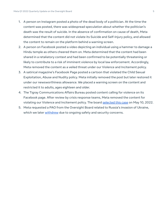- 1. A person on Instagram posted a photo of the dead body of a politician. At the time the content was posted, there was widespread speculation about whether the politician's death was the result of suicide. In the absence of confirmation on cause of death, Meta determined that the content did not violate its Suicide and Self-Injury policy, and allowed the content to remain on the platform behind a warning screen.
- 2. A person on Facebook posted a video depicting an individual using a hammer to damage a Hindu temple as others cheered them on. Meta determined that the content had been shared in a retaliatory context and had been confirmed to be potentially threatening or likely to contribute to a risk of imminent violence by local law enforcement. Accordingly, Meta removed the content as a veiled threat under our Violence and Incitement policy.
- 3. A satirical magazine's Facebook Page posted a cartoon that violated the Child Sexual Exploitation, Abuse and Nudity policy. Meta initially removed the post but later restored it under our newsworthiness allowance. We placed a warning screen on the content and restricted it to adults, ages eighteen and older.
- 4. The Tigray Communications Affairs Bureau posted content calling for violence on its Facebook page. After review by crisis response teams, Meta removed the content for violating our Violence and Incitement policy. The board [selected](https://transparency.fb.com/oversight/oversight-board-cases/violence-in-ethiopia) this case on May 10, 2022.
- 5. Meta requested a PAO from the Oversight Board related to Russia's invasion of Ukraine, which we later [withdrew](https://transparency.fb.com/oversight/oversight-board-cases/ukraine-russia-pao) due to ongoing safety and security concerns.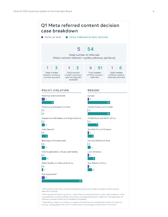

referrals of content we left up on Facebook or Instagram.

<sup>5</sup>Meta defines "region" according to an analysis of several factors, including the location of the person posting, the language(s) the content includes, and countries/regions referenced in the content.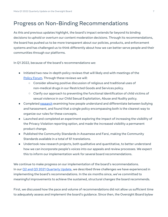# Progress on Non-Binding Recommendations

As this and previous updates highlight, the board's impact extends far beyond its binding decisions to uphold or overturn our content moderation decisions. Through its recommendations, the board has pushed us to be more transparent about our policies, products, and enforcement systems and has challenged us to think differently about how we can better serve people and their communities through our platforms.

In Q1 2022, because of the board's recommendations we:

- Initiated two new in-depth policy reviews that will likely end with meetings of the [Policy Forum](https://transparency.fb.com/policies/improving/policy-forum-minutes/). Through these reviews we will:
	- Consider allowing positive discussion of religious and traditional uses of non-medical drugs in our Restricted Goods and Services policy.
	- **○** Clarify our approach to preventing the functional identification of child victims of sexual violence in our Child Sexual Exploitation, Abuse and Nudity policy.
- Completed [research](https://research.facebook.com/file/993733407943277/perceptions_research_v2.pdf) examining how people understand and differentiate between bullying and harassment, and found that a single policy encompassing both is the clearest way to organize our rules for these concepts.
- Launched and completed an experiment exploring the impact of increasing the visibility of the Privacy Violation reporting option, and made the increased visibility a permanent product change.
- Published the Community Standards in Assamese and Farsi, making the Community Standards available in a total of 61 translations.
- Undertook new research projects, both qualitative and quantitative, to better understand how we can incorporate people's voices into our appeals and review processes. We expect this to inform our implementation work for several board recommendations.

We continue to make progress on our implementation of the board's recommendations. In our Q2 and Q3 2021 [Quarterly Update,](https://about.fb.com/wp-content/uploads/2021/11/Meta-Q2-and-Q3-2021-Quarterly-Update-on-the-Oversight-Board.pdf) we described three challenges we have experienced in implementing the board's recommendations. In the six months since, we've committed to meaningful improvements to achieve the sustained, structural changes the board recommends.

First, we discussed how the pace and volume of recommendations did not allow us sufficient time to adequately assess and implement the board's guidance. Since then, the Oversight Board bylaw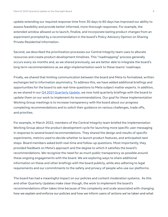update extending our required response time from 30 days to 60 days has improved our ability to assess feasibility and provide better informed, more thorough responses. For example, the extended window allowed us to launch, finalize, and incorporate lasting product changes from an experiment prompted by a recommendation in the board's Policy Advisory Opinion on Sharing Private Residential Information.

Second, we described the prioritization processes our Central Integrity team uses to allocate resources and create product development timelines. This "roadmapping" process generally occurs every six months and, as we shared previously, we are better able to integrate the board's long term recommendations as we align implementation work to these teams' roadmaps.

Finally, we shared that limiting communication between the board and Meta to formalized, written exchanges led to information asymmetry. To address this, we have added additional briefings and opportunities for the board to ask real-time questions to Meta subject matter experts. In addition, as we shared in our **Q4 2021 Quarterly Update**, we now hold quarterly briefings with the board to update them on our work to implement its recommendations. Our goal for these Implementation Working Group meetings is to increase transparency with the board about our progress completing recommendations and to solicit their guidance on various challenges, trade offs, and priorities.

For example, in March 2022, members of the Central Integrity team briefed the Implementation Working Group about the product development cycle for launching more specific user messaging in response to several board recommendations. They shared the design and results of specific experiments, metrics used to decide whether to launch product features, and anticipated next steps. Board members asked both real-time and follow-up questions. Most importantly, they provided feedback on Meta's approach and the degree to which it satisfies the board's recommendations. We recognize the need for as much public transparency as possible around these ongoing engagements with the board. We are exploring ways to share additional information on these and other briefings with the board publicly, while also adhering to legal requirements and our commitments to the safety and privacy of people who use our platforms.

The board has had a meaningful impact on our policies and content moderation systems. As this and other Quarterly Updates make clear though, the work to implement the board's recommendations often takes time because of the complexity and scale associated with changing how we explain and enforce our policies and how we inform users of actions we've taken and what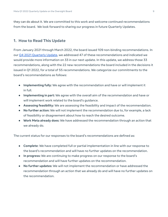they can do about it. We are committed to this work and welcome continued recommendations from the board. We look forward to sharing our progress in future Quarterly Updates.

#### <span id="page-8-0"></span>**1. How to Read This Update**

From January 2021 through March 2022, the board issued 109 non-binding recommendations. In our Q4 2021 [Quarterly Update](https://about.fb.com/wp-content/uploads/2022/03/Meta-Q4-2021-Quarterly-Update-on-the-Oversight-Board.pdf), we addressed 47 of these recommendations and indicated we would provide more information on 33 in our next update. In this update, we address those 33 recommendations, along with the 22 new recommendations the board included in the decisions it issued in Q1 2022, for a total of 55 recommendations. We categorize our commitments to the board's recommendations as follows:

- **Implementing fully:** We agree with the recommendation and have or will implement it in full.
- **Implementing in part:** We agree with the overall aim of the recommendation and have or will implement work related to the board's guidance.
- **Assessing feasibility:** We are assessing the feasibility and impact of the recommendation.
- **No further action:** We will not implement the recommendation due to, for example, a lack of feasibility or disagreement about how to reach the desired outcome.
- **● Work Meta already does:** We have addressed the recommendation through an action that we already do.

The current status for our responses to the board's recommendations are defined as:

- **Complete**: We have completed full or partial implementation in line with our response to the board's recommendation and will have no further updates on the recommendation.
- **In progress:** We are continuing to make progress on our response to the board's recommendation and will have further updates on the recommendation.
- **No further updates:** We will not implement the recommendation or have addressed the recommendation through an action that we already do and will have no further updates on the recommendation.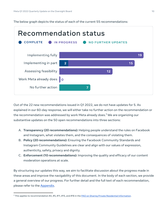The below graph depicts the status of each of the current 55 recommendations:



Out of the 22 new recommendations issued in Q1 2022, we do not have updates for 5. As explained in our 60-day response, we will either take no further action on the recommendation or the recommendation was addressed by work Meta already does. <sup>3</sup> We are organizing our substantive updates on the 50 open recommendations into three sections:

- A. **Transparency (20 recommendations):** Helping people understand the rules on Facebook and Instagram, what violates them, and the consequences of violating them.
- B. **Policy (20 recommendations):** Ensuring the Facebook Community Standards and Instagram Community Guidelines are clear and align with our values of expression, authenticity, safety, privacy and dignity.
- C. **Enforcement (10 recommendations):** Improving the quality and efficacy of our content moderation operations at scale.

By structuring our updates this way, we aim to facilitate discussion about the progress made in these areas and improve the navigability of this document. In the body of each section, we provide a general overview of our progress. For further detail and the full text of each recommendation, please refer to the [Appendix](#page-14-0).

<sup>&</sup>lt;sup>3</sup> This applies to recommendation #2, #5, #11, #15, and #16 in the PAO on Sharing Private Residential [Information](https://transparency.fb.com/pao-private-residential-information-policy/).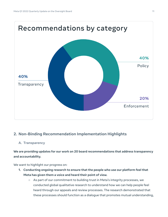

## <span id="page-10-1"></span><span id="page-10-0"></span>**2. Non-Binding Recommendation Implementation Highlights**

### <span id="page-10-2"></span>**A. Transparency**

**We are providing updates for our work on 20 board recommendations that address transparency and accountability.**

We want to highlight our progress on:

- **1. Conducting ongoing research to ensure that the people who use our [platform](#page-15-1) feel that Meta has given them a voice and [heard](#page-15-1) their point of view.**
	- **○** As part of our commitment to building trust in Meta's integrity processes, we conducted global qualitative research to understand how we can help people feel heard through our appeals and review processes. The research demonstrated that these processes should function as a dialogue that promotes mutual understanding,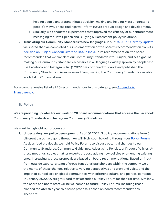helping people understand Meta's decision-making and helping Meta understand people's views. These findings will inform future product design and development.

- **○** Similarly, we conducted experiments that improved the efficacy of our enforcement messaging for Hate Speech and Bullying & Harassment policy violations.
- **2. Translating our Community Standards to new languages.** In our Q4 2021 [Quarterly Update,](https://about.fb.com/wp-content/uploads/2022/03/Meta-Q4-2021-Quarterly-Update-on-the-Oversight-Board.pdf) we shared that we completed our implementation of the board's recommendation from its decision on Punjabi [Concern](https://transparency.fb.com/oversight/oversight-board-cases/punjabi-concern-over-the-rss-in-india/) Over the RSS in India. In its recommendation, the board recommended that we translate our Community Standards into Punjabi, and set a goal of making our Community Standards accessible in all languages widely spoken by people who use Facebook and Instagram. In Q1 2022, we continued this work and published the Community Standards in Assamese and Farsi, making the Community Standards available in a total of 61 translations.

For a comprehensive list of all 20 recommendations in this category, see [Appendix](#page-15-0) A. [Transparency.](#page-15-0)

#### <span id="page-11-0"></span>**B. Policy**

**We are providing updates for our work on 20 board recommendations that address the Facebook Community Standards and Instagram Community Guidelines.**

We want to highlight our progress on:

**1. Undertaking new policy development.** As of Q1 2022, 3 policy recommendations from 3 different cases have gone through (or will likely soon be going through) our **[Policy Forum.](https://about.fb.com/news/2018/11/content-standards-forum-minutes/)** As described previously, we hold Policy Forums to discuss potential changes to our Community Standards, Community Guidelines, Advertising Policies, or Product Policies. At these meetings, subject matter experts propose adding new policies or amending existing ones. Increasingly, those proposals are based on board recommendations. Based on input from outside experts, a team of cross-functional stakeholders within the company weigh the merits of these changes relative to varying perspectives on safety and voice, and the impact of our policies on global communities with different cultural and political contexts. In January 2022, Oversight Board staff attended a Policy Forum for the first time. Similarly, the board and board staff will be welcomed to future Policy Forums, including those planned for later this year to discuss proposals based on board recommendations. These are: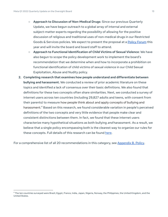- **Approach to Discussion of Non-Medical Drugs**: Since our previous [Quarterly](https://about.fb.com/wp-content/uploads/2022/03/Meta-Q4-2021-Quarterly-Update-on-the-Oversight-Board.pdf) [Update](https://about.fb.com/wp-content/uploads/2022/03/Meta-Q4-2021-Quarterly-Update-on-the-Oversight-Board.pdf), we have begun outreach to a global array of internal and external subject-matter experts regarding the possibility of allowing for the positive discussion of religious and traditional uses of non-medical drugs in our Restricted Goods & Services policies. We expect to present the proposal at a **[Policy Forum](https://about.fb.com/news/2018/11/content-standards-forum-minutes/)** this year and will invite the board and board staff to attend.
- **Approach to Functional Identification of Child Victims of Sexual Violence**: We have also begun to scope the policy development work to implement the board's recommendation that we determine when and how to incorporate a prohibition on functional identification of child victims of sexual violence in our Child Sexual Exploitation, Abuse and Nudity policy.
- **2. Completing research that examines how people understand and [differentiate](#page-23-0) between bullying and [harassment.](#page-23-0)** We conducted a review of prior academic literature on these topics and identified a lack of consensus over their basic definitions. We also found that definitions for these two concepts often share similarities. Next, we conducted a survey of internet users across ten countries (including 29,827 adults and teens, with consent from their parents) to measure how people think about and apply concepts of bullying and harassment. <sup>4</sup> Based on this research, we found considerable variation in people's perceived definitions of the two concepts and very little evidence that people make clear and consistent distinctions between them. In fact, we found that these internet users characterize many hypothetical situations as both bullying and harassment. As a result, we believe that a single policy encompassing both is the clearest way to organize our rules for these concepts. Full details of this research can be found [here](https://research.facebook.com/file/993733407943277/perceptions_research_v2.pdf).

<span id="page-12-0"></span>For a comprehensive list of all 20 recommendations in this category, see [Appendix](#page-22-0) B. Policy.

<sup>4</sup> The ten countries surveyed were Brazil, Egypt, France, India, Japan, Nigeria, Norway, the Philippines, the United Kingdom, and the United States.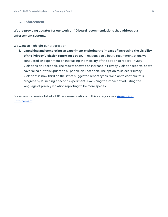#### <span id="page-13-0"></span>**C. Enforcement**

## **We are providing updates for our work on 10 board recommendations that address our enforcement systems.**

We want to highlight our progress on:

**1. Launching and completing an experiment exploring the impact of increasing the visibility of the Privacy Violation reporting option.** In response to a board recommendation, we conducted an experiment on increasing the visibility of the option to report Privacy Violations on Facebook. The results showed an increase in Privacy Violation reports, so we have rolled out this update to all people on Facebook. The option to select "Privacy Violation" is now third on the list of suggested report types. We plan to continue this progress by launching a second experiment, examining the impact of adjusting the language of privacy violation reporting to be more specific.

For a comprehensive list of all 10 recommendations in this category, see [Appendix](#page-30-0) C. [Enforcement](#page-30-0).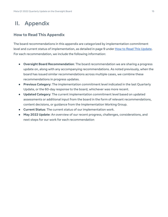# <span id="page-14-0"></span>II. Appendix

## <span id="page-14-1"></span>**How to Read This Appendix**

The board recommendations in this appendix are categorized by implementation commitment level and current status of implementation, as detailed in page 9 under How to Read This [Update.](#page-8-0) For each recommendation, we include the following information:

- **Oversight Board Recommendation**: The board recommendation we are sharing a progress update on, along with any accompanying recommendations. As noted previously, when the board has issued similar recommendations across multiple cases, we combine these recommendations in progress updates.
- **Previous Category**: The implementation commitment level indicated in the last Quarterly Update, or the 60-day response to the board, whichever was more recent.
- **Updated Category**: The current implementation commitment level based on updated assessments or additional input from the board in the form of relevant recommendations, content decisions, or guidance from the Implementation Working Group.
- **Current Status**: The current status of our implementation work.
- **May 2022 Update**: An overview of our recent progress, challenges, considerations, and next steps for our work for each recommendation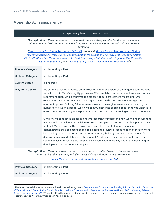## <span id="page-15-0"></span>**Appendix A. Transparency**

#### **Transparency Recommendations**

**Oversight Board Recommendation:** Ensure that users are always notified of the reasons for any enforcement of the Community Standards against them, including the specific rule Facebook is enforcing.

<span id="page-15-1"></span>(Armenians in Azerbaijan [Recommendation](https://transparency.fb.com/oversight/oversight-board-cases/armenians-azerbaijan/) #1 (along with Breast Cancer [Symptoms](https://transparency.fb.com/oversight/oversight-board-cases/breast-cancer-symptoms-nudity/) and Nudity [Recommendation](https://transparency.fb.com/oversight/oversight-board-cases/breast-cancer-symptoms-nudity/) #3, Nazi Quote [Recommendation](https://transparency.fb.com/oversight/oversight-board-cases/nazi-quote/) #1, Depiction of Zwarte Piet [Recommendation](https://transparency.fb.com/oversight/oversight-board-cases/depiction-of-zwarte-piet/) [#2](https://transparency.fb.com/oversight/oversight-board-cases/depiction-of-zwarte-piet/), South Africa Slur [Recommendation](https://transparency.fb.com/oversight/oversight-board-cases/situation-south-africa-while-using-slurs/) #1, Post Discussing <sup>a</sup> Substance with [Psychoactive](https://transparency.fb.com/oversight/oversight-board-cases/ayahuasca-substance/) Properties [Recommendation](https://transparency.fb.com/oversight/oversight-board-cases/ayahuasca-substance/) #2, and PAO on Sharing Private Residential [Information](https://transparency.fb.com/pao-private-residential-information-policy/) #17)<sup>5</sup>)

| <b>Previous Category</b>                                                                                                                                                                                                               | Implementing in Part                                                                                                                                                                                                                                                                                                                                                                                                                                                                                                                                                                                                                                                                                                                                                                                                                                                                                                                                                                                                                                                                                                                                                                                                                                                                                                                                 |
|----------------------------------------------------------------------------------------------------------------------------------------------------------------------------------------------------------------------------------------|------------------------------------------------------------------------------------------------------------------------------------------------------------------------------------------------------------------------------------------------------------------------------------------------------------------------------------------------------------------------------------------------------------------------------------------------------------------------------------------------------------------------------------------------------------------------------------------------------------------------------------------------------------------------------------------------------------------------------------------------------------------------------------------------------------------------------------------------------------------------------------------------------------------------------------------------------------------------------------------------------------------------------------------------------------------------------------------------------------------------------------------------------------------------------------------------------------------------------------------------------------------------------------------------------------------------------------------------------|
| <b>Updated Category</b>                                                                                                                                                                                                                | Implementing in Part                                                                                                                                                                                                                                                                                                                                                                                                                                                                                                                                                                                                                                                                                                                                                                                                                                                                                                                                                                                                                                                                                                                                                                                                                                                                                                                                 |
| <b>Current Status</b>                                                                                                                                                                                                                  | In Progress                                                                                                                                                                                                                                                                                                                                                                                                                                                                                                                                                                                                                                                                                                                                                                                                                                                                                                                                                                                                                                                                                                                                                                                                                                                                                                                                          |
| May 2022 Update                                                                                                                                                                                                                        | We continue making progress on this recommendation as part of our ongoing commitment<br>to build trust in Meta's integrity processes. We completed two experiments relevant to this<br>recommendation, which improved the efficacy of our enforcement messaging. One<br>experiment tailored Hate Speech messaging based on the person's violation type and<br>another improved Bullying & Harassment violation messaging. We are also expanding the<br>number of violation types for which we communicate the specific policy that was violated in<br>enforcement messaging. We expect to continue testing and improving on these experiences.<br>Similarly, we conducted global qualitative research to understand how we might ensure that<br>when people appeal Meta's decision to take down a piece of content that they posted, they<br>feel that Meta has given them a voice and heard their point of view. The research<br>demonstrated that, to ensure people feel heard, the review process needs to function more<br>like a dialogue that promotes mutual understanding: helping people understand Meta's<br>decision-making and Meta understand people's rationale. These findings will inform the<br>second phase of research: prototyping a new user experience in Q3 2022 and beginning to<br>develop new metrics for measuring voice. |
| Oversight Board Recommendation: Inform users when automation is used to take enforcement<br>action against their content, including accessible descriptions of what this means.<br>(Breast Cancer Symptoms & Nudity Recommendation #5) |                                                                                                                                                                                                                                                                                                                                                                                                                                                                                                                                                                                                                                                                                                                                                                                                                                                                                                                                                                                                                                                                                                                                                                                                                                                                                                                                                      |
| <b>Previous Category</b>                                                                                                                                                                                                               | Implementing in Part                                                                                                                                                                                                                                                                                                                                                                                                                                                                                                                                                                                                                                                                                                                                                                                                                                                                                                                                                                                                                                                                                                                                                                                                                                                                                                                                 |
| <b>Updated Category</b>                                                                                                                                                                                                                | Implementing in Part                                                                                                                                                                                                                                                                                                                                                                                                                                                                                                                                                                                                                                                                                                                                                                                                                                                                                                                                                                                                                                                                                                                                                                                                                                                                                                                                 |

<sup>&</sup>lt;sup>5</sup> The board issued similar recommendations in the following cases: Breast Cancer [Symptoms](https://transparency.fb.com/oversight/oversight-board-cases/breast-cancer-symptoms-nudity/) and Nudity #3, Nazi [Quote](https://transparency.fb.com/oversight/oversight-board-cases/nazi-quote/) #1, [Depiction](https://transparency.fb.com/oversight/oversight-board-cases/depiction-of-zwarte-piet/) of [Zwarte](https://transparency.fb.com/oversight/oversight-board-cases/depiction-of-zwarte-piet/) Piet #2, [South](https://transparency.fb.com/oversight/oversight-board-cases/situation-south-africa-while-using-slurs/) Africa Slur #1, Post Discussing a Substance with [Psychoactive](https://transparency.fb.com/oversight/oversight-board-cases/ayahuasca-substance/) Properties #2, and PAO on [Sharing](https://transparency.fb.com/pao-private-residential-information-policy/) Private Residential [Information](https://transparency.fb.com/pao-private-residential-information-policy/) #17. We are tracking the progress of our work in response to these recommendations as part of our response to recommendation #1 in the Armenians in Azerbaijan case.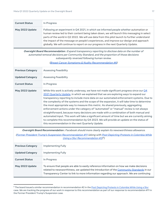| <b>Current Status</b> | In Progress                                                                                                                                                                                                                                                                                                                                                                                                                                                          |
|-----------------------|----------------------------------------------------------------------------------------------------------------------------------------------------------------------------------------------------------------------------------------------------------------------------------------------------------------------------------------------------------------------------------------------------------------------------------------------------------------------|
| May 2022 Update       | Following an experiment in Q4 2021, in which we informed people whether automation or<br>human review led to their content being taken down, we will launch this messaging in select<br>parts of the world in Q2 2022. We will use data from this pilot launch to further understand<br>the impact of the message on people's experiences, and improve our design and approach<br>globally. We will continue to report on our progress in the next Quarterly Update. |

**Oversight Board Recommendation :** Expand transparency reporting to disclose data on the number of automated removal decisions per Community Standard, and the proportion of those decisions

| subsequently reversed following human review.<br>(Breast Cancer Symptoms & Nudity Recommendation #6) |                                                                                                                                                                                                                                                                                                                                                                                                                                                                                                                                                                                                                                                                                                                                                                                                                                                                                                           |
|------------------------------------------------------------------------------------------------------|-----------------------------------------------------------------------------------------------------------------------------------------------------------------------------------------------------------------------------------------------------------------------------------------------------------------------------------------------------------------------------------------------------------------------------------------------------------------------------------------------------------------------------------------------------------------------------------------------------------------------------------------------------------------------------------------------------------------------------------------------------------------------------------------------------------------------------------------------------------------------------------------------------------|
| <b>Previous Category</b>                                                                             | <b>Assessing Feasibility</b>                                                                                                                                                                                                                                                                                                                                                                                                                                                                                                                                                                                                                                                                                                                                                                                                                                                                              |
| <b>Updated Category</b>                                                                              | <b>Assessing Feasibility</b>                                                                                                                                                                                                                                                                                                                                                                                                                                                                                                                                                                                                                                                                                                                                                                                                                                                                              |
| <b>Current Status</b>                                                                                | In Progress                                                                                                                                                                                                                                                                                                                                                                                                                                                                                                                                                                                                                                                                                                                                                                                                                                                                                               |
| May 2022 Update                                                                                      | While this work is actively underway, we have not made significant progress since our $Q4$<br>2021 Quarterly Update, in which we explained that we are exploring ways to expand our<br>transparency reporting to include more data on our automated enforcement systems. Due to<br>the complexity of the systems and the scope of the expansion, it will take time to determine<br>the most appropriate way to measure this metric. As shared previously, aggregating<br>enforcement actions under the category of "automated" or "manual" review is not always<br>straightforward, because many decisions are made with a combination of both manual and<br>automated input. This work will take a significant amount of time but we are currently aiming<br>to complete this recommendation by Q4 2023. We will provide an update on the status of<br>this recommendation in the next Quarterly Update. |

**Oversight Board Recommendation :** Facebook should more clearly explain its newsworthiness allowance.

<span id="page-16-0"></span>(Former President Trump's Suspension [Recommendation](https://transparency.fb.com/oversight/oversight-board-cases/former-president-trump-suspension-from-facebook/) #11 (along with Post [Depicting](https://transparency.fb.com/oversight/oversight-board-cases/protests-colombia-while-using-slur/) Protests in Colombia While Using a Slur [Recommendation](https://transparency.fb.com/oversight/oversight-board-cases/protests-colombia-while-using-slur/) #2)<sup>6</sup>)

| <b>Previous Category</b> | Implementing Fully                                                                                                                                                                                                                                                               |  |
|--------------------------|----------------------------------------------------------------------------------------------------------------------------------------------------------------------------------------------------------------------------------------------------------------------------------|--|
| <b>Updated Category</b>  | Implementing Fully                                                                                                                                                                                                                                                               |  |
| <b>Current Status</b>    | In Progress                                                                                                                                                                                                                                                                      |  |
| May 2022 Update          | To ensure that people are able to easily reference information on how we make decisions<br>related to newsworthiness, we updated the introduction of the Community Standards in our<br>Transparency Center to link to more information regarding our approach. We are continuing |  |

<sup>&</sup>lt;sup>6</sup> The board issued a similar recommendation in recommendation #2 in the **Post [Depicting](https://transparency.fb.com/oversight/oversight-board-cases/protests-colombia-while-using-slur/) Protests in Colombia While Using a Slur** case. We are tracking the progress of our work in response to this recommendation as part of our response to recommendation #11 in the Former President Trump's Suspension case.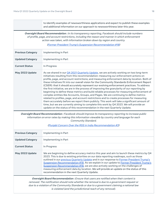to identify examples of newsworthiness applications and expect to publish these examples and additional information on our approach to newsworthiness later this year.

**Oversight Board Recommendation :** In its transparency reporting, Facebook should include numbers of profile, page, and account restrictions, including the reason and manner in which enforcement action was taken, with information broken down by region and country.

#### (Former President Trump's Suspension [Recommendation](https://transparency.fb.com/oversight/oversight-board-cases/former-president-trump-suspension-from-facebook/) #18)

| <b>Previous Category</b> | Implementing in Part                                                                                                                                                                                                                                                                                                                                                                                                                                                                                                                                                                                                                                                                                                                                                                                                                                                                                                                                                                                                                                                                                                                     |
|--------------------------|------------------------------------------------------------------------------------------------------------------------------------------------------------------------------------------------------------------------------------------------------------------------------------------------------------------------------------------------------------------------------------------------------------------------------------------------------------------------------------------------------------------------------------------------------------------------------------------------------------------------------------------------------------------------------------------------------------------------------------------------------------------------------------------------------------------------------------------------------------------------------------------------------------------------------------------------------------------------------------------------------------------------------------------------------------------------------------------------------------------------------------------|
| <b>Updated Category</b>  | Implementing in Part                                                                                                                                                                                                                                                                                                                                                                                                                                                                                                                                                                                                                                                                                                                                                                                                                                                                                                                                                                                                                                                                                                                     |
| <b>Current Status</b>    | In Progress                                                                                                                                                                                                                                                                                                                                                                                                                                                                                                                                                                                                                                                                                                                                                                                                                                                                                                                                                                                                                                                                                                                              |
| May 2022 Update          | As we shared in our Q4 2021 Quarterly Update, we are actively working on two long-term<br>initiatives resulting from this recommendation: measuring our enforcement actions on<br>profile, page, and account restrictions; and measuring enforcement data by location. Both of<br>these initiatives fit into our overall vision for the Community Standards Enforcement Report<br>(CSER): that it should accurately represent our evolving enforcement practices. To address<br>the first initiative, we are in the process of improving the granularity of our reporting by<br>beginning to define these metrics and build reliable processes for measuring enforcement of<br>complex entities like Accounts, Groups, and Pages. We are continuing to define metrics<br>related to profiles, page, and account restrictions and to create processes for measuring<br>them accurately before we report them publicly. This work will take a significant amount of<br>time, but we are currently aiming to complete this work by Q4 2023. We will provide an<br>update on the status of this recommendation in the next Quarterly Update. |

**Oversight Board Recommendation :** Facebook should improve its transparency reporting to increase public information on error rates by making this information viewable by country and language for each Community Standard.

#### (Punjabi Concern Over the RSS in India [Recommendation](https://transparency.fb.com/oversight/oversight-board-cases/punjabi-concern-over-the-rss-in-india/) #3)

| <b>Previous Category</b> | Implementing in Part                                                                                                                                                                                                                                                                                                                                                                                                                                                                                                                                                                                        |
|--------------------------|-------------------------------------------------------------------------------------------------------------------------------------------------------------------------------------------------------------------------------------------------------------------------------------------------------------------------------------------------------------------------------------------------------------------------------------------------------------------------------------------------------------------------------------------------------------------------------------------------------------|
| <b>Updated Category</b>  | Implementing in Part                                                                                                                                                                                                                                                                                                                                                                                                                                                                                                                                                                                        |
| <b>Current Status</b>    | In Progress                                                                                                                                                                                                                                                                                                                                                                                                                                                                                                                                                                                                 |
| May 2022 Update          | We are beginning to define accuracy metrics this year and aim to launch these metrics by Q4<br>2023. This is due to existing priorities on our data reporting roadmaps, such as those<br>outlined in our previous Quarterly Update and in our response to Former President Trump's<br>Suspension Recommendation #18. As we explain in our update to Former President Trump's<br>Suspension Recommendation #18, we are also actively working on the challenges of<br>measuring enforcement data by location. We will provide an update on the status of this<br>recommendation in the next Quarterly Update. |

**Oversight Board Recommendation :** Ensure that users are notified when their content is removed. The notification should note whether the removal is due to <sup>a</sup> government request or due to <sup>a</sup> violation of the Community Standards or due to <sup>a</sup> government claiming <sup>a</sup> national law is violated (and the jurisdictional reach of any removal).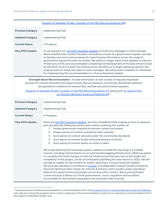| (Support of Abdullah Öcalan, Founder of the PKK Recommendation #9)                                                                                                                                                                                                                                                                                                                                                             |                                                                                                                                                                                                                                                                                                                                                                                                                                                                                                                                                                                                                                                                                                                                                                                                                                                                                                                                                                                                                                                                                                                                                                                                                                                                                                                                                                                                                                |
|--------------------------------------------------------------------------------------------------------------------------------------------------------------------------------------------------------------------------------------------------------------------------------------------------------------------------------------------------------------------------------------------------------------------------------|--------------------------------------------------------------------------------------------------------------------------------------------------------------------------------------------------------------------------------------------------------------------------------------------------------------------------------------------------------------------------------------------------------------------------------------------------------------------------------------------------------------------------------------------------------------------------------------------------------------------------------------------------------------------------------------------------------------------------------------------------------------------------------------------------------------------------------------------------------------------------------------------------------------------------------------------------------------------------------------------------------------------------------------------------------------------------------------------------------------------------------------------------------------------------------------------------------------------------------------------------------------------------------------------------------------------------------------------------------------------------------------------------------------------------------|
| <b>Previous Category</b>                                                                                                                                                                                                                                                                                                                                                                                                       | <b>Implementing Fully</b>                                                                                                                                                                                                                                                                                                                                                                                                                                                                                                                                                                                                                                                                                                                                                                                                                                                                                                                                                                                                                                                                                                                                                                                                                                                                                                                                                                                                      |
| <b>Updated Category</b>                                                                                                                                                                                                                                                                                                                                                                                                        | <b>Implementing Fully</b>                                                                                                                                                                                                                                                                                                                                                                                                                                                                                                                                                                                                                                                                                                                                                                                                                                                                                                                                                                                                                                                                                                                                                                                                                                                                                                                                                                                                      |
| <b>Current Status</b>                                                                                                                                                                                                                                                                                                                                                                                                          | In Progress                                                                                                                                                                                                                                                                                                                                                                                                                                                                                                                                                                                                                                                                                                                                                                                                                                                                                                                                                                                                                                                                                                                                                                                                                                                                                                                                                                                                                    |
| May 2022 Update                                                                                                                                                                                                                                                                                                                                                                                                                | As we shared in our Q4 2021 Quarterly Update, to build new messages to inform people<br>about whether their content has been removed as a result of a government request, we have<br>to develop new tools and processes for reporting this information across the range of<br>government request formats we receive. We expect to begin these initial updates to internal<br>infrastructure this year and anticipate completing full development of the data infrastructure<br>by Q4 2023. Once it is built, this infrastructure will allow us to begin assessing options and<br>scoping work for these new types of user messages. We will provide a timeline of milestones<br>for implementing this recommendation in a future Quarterly Update.                                                                                                                                                                                                                                                                                                                                                                                                                                                                                                                                                                                                                                                                             |
| Oversight Board Recommendation: Include information on the number of requests Facebook<br>receives for content removals from governments that are based on Community Standards violations<br>(as opposed to violations of national law), and the outcome of those requests.<br>(Support of Abdullah Öcalan, Founder of the PKK Recommendation #11 (along with Al Jazeera Post<br>on Tensions Between Israel and Palestine #47) |                                                                                                                                                                                                                                                                                                                                                                                                                                                                                                                                                                                                                                                                                                                                                                                                                                                                                                                                                                                                                                                                                                                                                                                                                                                                                                                                                                                                                                |
| <b>Previous Category</b>                                                                                                                                                                                                                                                                                                                                                                                                       | <b>Implementing Fully</b>                                                                                                                                                                                                                                                                                                                                                                                                                                                                                                                                                                                                                                                                                                                                                                                                                                                                                                                                                                                                                                                                                                                                                                                                                                                                                                                                                                                                      |
| <b>Updated Category</b>                                                                                                                                                                                                                                                                                                                                                                                                        | Implementing Fully                                                                                                                                                                                                                                                                                                                                                                                                                                                                                                                                                                                                                                                                                                                                                                                                                                                                                                                                                                                                                                                                                                                                                                                                                                                                                                                                                                                                             |
| <b>Current Status</b>                                                                                                                                                                                                                                                                                                                                                                                                          | In Progress                                                                                                                                                                                                                                                                                                                                                                                                                                                                                                                                                                                                                                                                                                                                                                                                                                                                                                                                                                                                                                                                                                                                                                                                                                                                                                                                                                                                                    |
| May 2022 Update                                                                                                                                                                                                                                                                                                                                                                                                                | Since our Q4 2021 Quarterly Update, we have completed initial scoping on how to measure<br>and calculate the following country-level metrics outlining the number of:<br>Unique government requests to remove content we receive<br>1.<br>Unique pieces of content covered by these requests<br>2.<br>Such pieces of content removed under the Community Standards<br>3.<br>Such pieces of content locally restricted based on local law<br>4.<br>Such pieces of content where no action is taken<br>5.<br>We're also planning the necessary system updates to build this reporting in a scalable<br>manner, including improvements to our internal data logging infrastructure. While we expect<br>to complete the initial changes to internal infrastructure this year, due to the length and<br>complexity of this project, we do not anticipate publishing the new reports in 2022. We will<br>provide an update on the timeline for public reporting in a future Quarterly Update.<br>We have also decided to contribute to Lumen, an independent research project hosted by<br>Harvard's Berkman Klein Center for Internet & Society, which studies cease-and-desist<br>letters from governments and people concerning online content. We're joining Project<br>Lumen because it allows us to hold governments, courts, regulators and ourselves<br>accountable for the content requested to be removed under local law. |

 $^7$  The board issued a similar recommendation in recommendation #4 in the <u>Al Jazeera Post on Tensions Between Israel and [Palestine](https://transparency.fb.com/oversight/oversight-board-cases/al-jazeera-post-tensions-israel-palestine/)</u> case. We are tracking the progress of our work in response to this recommendation as part of our response to recommendation #11 in the Support of Abdullah Öcalan case.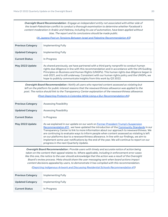**Oversight Board Recommendation :** Engage an independent entity not associated with either side of the Israeli-Palestinian conflict to conduct <sup>a</sup> thorough examination to determine whether Facebook's content moderation in Arabic and Hebrew, including its use of automation, have been applied without bias. The report and its conclusions should be made public.

(Al Jazeera Post on Tensions Between Israel and Palestine [Recommendation](https://transparency.fb.com/oversight/oversight-board-cases/al-jazeera-post-tensions-israel-palestine/) #3)

| <b>Previous Category</b> | Implementing Fully                                                                                                                                                                                                                                                                                                                                                                                                                                  |
|--------------------------|-----------------------------------------------------------------------------------------------------------------------------------------------------------------------------------------------------------------------------------------------------------------------------------------------------------------------------------------------------------------------------------------------------------------------------------------------------|
| <b>Updated Category</b>  | Implementing Fully                                                                                                                                                                                                                                                                                                                                                                                                                                  |
| <b>Current Status</b>    | In Progress                                                                                                                                                                                                                                                                                                                                                                                                                                         |
| May 2022 Update          | As shared previously, we have partnered with a third party nonprofit to conduct human<br>rights due diligence in line with this recommendation and in accordance with the UN Guiding<br>Principles on Business and Human Rights (UNGPs). This human rights due diligence began in<br>mid-2021, and is still underway. Consistent with our human rights policy and the UNGPs, we<br>hope to publicly communicate insights from this work by Q3 2022. |

**Oversight Board Recommendation :** Notify all users who reported content assessed as violating but left on the platform for public interest reasons that the newsworthiness allowance was applied to the post. The notice should link to the Transparency Center explanation of the newsworthiness allowance.

(Post Depicting Protests in Colombia While Using <sup>a</sup> Slur [Recommendation](https://transparency.fb.com/oversight/oversight-board-cases/protests-colombia-while-using-slur/) #4)

| <b>Previous Category</b> | <b>Assessing Feasibility</b>                                                                                                                                                                                                                                                                                                                                                                                                                                                                                                                                                                               |
|--------------------------|------------------------------------------------------------------------------------------------------------------------------------------------------------------------------------------------------------------------------------------------------------------------------------------------------------------------------------------------------------------------------------------------------------------------------------------------------------------------------------------------------------------------------------------------------------------------------------------------------------|
| <b>Updated Category</b>  | <b>Assessing Feasibility</b>                                                                                                                                                                                                                                                                                                                                                                                                                                                                                                                                                                               |
| <b>Current Status</b>    | In Progress                                                                                                                                                                                                                                                                                                                                                                                                                                                                                                                                                                                                |
| May 2022 Update          | As we explained in our update on our work on Former President Trump's Suspension<br>Recommendation #11, we have updated the introduction of the Community Standards in our<br>Transparency Center to link to more information about our approach to newsworthiness. We<br>are continuing to evaluate ways to inform people when content assessed as violating is left<br>on our platforms due to a newsworthiness allowance. In line with our findings, we aim to<br>implement some user notifications by the end of the year. We will continue to report on our<br>progress in the next Quarterly Update. |

**Oversight Board Recommendation :** Provide users with timely and accurate notice of action being taken on the content their appeal relates to. Where applicable, including in enforcement error cases like this one, the notice to the user should acknowledge that the action was <sup>a</sup> result of the Oversight Board's review process. Meta should share the user messaging sent when board actions impact content decisions appealed by users, to demonstrate it has complied with this recommendation.

(Depicting Indigenous Artwork and Discussing Residential Schools [Recommendation](https://transparency.fb.com/oversight/oversight-board-cases/indigenous-artwork-residential-schools/) #1)

| <b>Previous Category</b> | Implementing Fully |
|--------------------------|--------------------|
| Updated Category         | Implementing Fully |
| <b>Current Status</b>    | In Progress        |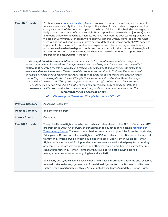| May 2022 Update                                                                                                                                                                                                                                                                                                                                                                                                                                                                                                                                                                                                                                                                                                                                                                                                                                                                                                                                                                                                    | As shared in our previous Quarterly Update, we plan to update the messaging that people<br>receive when we notify them of a change to the status of their content to explain that the<br>change is a result of the person's appeal to the board. While not finalized, the messaging is<br>likely to read: "As a result of your Oversight Board appeal, we reviewed your [content] again<br>and found that we removed it by mistake. We have now restored your [content], as it did not<br>violate our Community Standards. We're sorry we got this wrong. We're looking into what<br>went wrong and will continue to improve how we detect and remove content." We hoped to<br>implement this change in Q1, but due to unexpected work based on urgent regulatory<br>priorities, we have had to deprioritize this recommendation for this quarter. However, it will<br>be incorporated into roadmaps for Q3 and Q4 2022. We will continue to report on our<br>progress in the next Quarterly Update. |  |
|--------------------------------------------------------------------------------------------------------------------------------------------------------------------------------------------------------------------------------------------------------------------------------------------------------------------------------------------------------------------------------------------------------------------------------------------------------------------------------------------------------------------------------------------------------------------------------------------------------------------------------------------------------------------------------------------------------------------------------------------------------------------------------------------------------------------------------------------------------------------------------------------------------------------------------------------------------------------------------------------------------------------|------------------------------------------------------------------------------------------------------------------------------------------------------------------------------------------------------------------------------------------------------------------------------------------------------------------------------------------------------------------------------------------------------------------------------------------------------------------------------------------------------------------------------------------------------------------------------------------------------------------------------------------------------------------------------------------------------------------------------------------------------------------------------------------------------------------------------------------------------------------------------------------------------------------------------------------------------------------------------------------------------|--|
| Oversight Board Recommendation : Commission an independent human rights due diligence<br>assessment on how Facebook and Instagram have been used to spread hate speech and unverified<br>rumors that heighten the risk of violence in Ethiopia. The assessment should review the success of<br>measures Meta took to prevent the misuse of its products and services in Ethiopia. The assessment<br>should also review the success of measures Meta took to allow for corroborated and public interest<br>reporting on human rights atrocities in Ethiopia. The assessment should review Meta's language<br>capabilities in Ethiopia and if they are adequate to protect the rights of its users. The assessment<br>should cover a period from June 1, 2020, to the present. The company should complete the<br>assessment within six months from the moment it responds to these recommendations. The<br>assessment should be published in full.<br>(Post Discussing the Situation in Ethiopia Recommendation #3) |                                                                                                                                                                                                                                                                                                                                                                                                                                                                                                                                                                                                                                                                                                                                                                                                                                                                                                                                                                                                      |  |
| <b>Previous Category</b>                                                                                                                                                                                                                                                                                                                                                                                                                                                                                                                                                                                                                                                                                                                                                                                                                                                                                                                                                                                           | <b>Assessing Feasibility</b>                                                                                                                                                                                                                                                                                                                                                                                                                                                                                                                                                                                                                                                                                                                                                                                                                                                                                                                                                                         |  |
| <b>Updated Category</b>                                                                                                                                                                                                                                                                                                                                                                                                                                                                                                                                                                                                                                                                                                                                                                                                                                                                                                                                                                                            | Implementing in Part                                                                                                                                                                                                                                                                                                                                                                                                                                                                                                                                                                                                                                                                                                                                                                                                                                                                                                                                                                                 |  |
| <b>Current Status</b>                                                                                                                                                                                                                                                                                                                                                                                                                                                                                                                                                                                                                                                                                                                                                                                                                                                                                                                                                                                              | Complete                                                                                                                                                                                                                                                                                                                                                                                                                                                                                                                                                                                                                                                                                                                                                                                                                                                                                                                                                                                             |  |
| May 2022 Update                                                                                                                                                                                                                                                                                                                                                                                                                                                                                                                                                                                                                                                                                                                                                                                                                                                                                                                                                                                                    | The global Human Rights team has worked as an integral part of the At Risk Countries (ARC)<br>program since 2019. An overview of our approach to countries at risk can be found in our<br>Transparency Center. The team has embedded standards and principles from the UN Guiding<br>Principles on Business and Human Rights (UNGPs) into relevant prioritization and analytical<br>frameworks, which serve as ongoing due diligence tools. Shortly after our global Human<br>Rights team was created, Ethiopia's risk level was re-evaluated, a third party fact checking<br>assessment program was established, and other colleagues were trained on atrocity crime<br>risks and frameworks. Human Rights staff have also participated in Ethiopia risk<br>management processes on an ongoing basis since 2019.<br>Since early 2020, due diligence has included field-based information gathering and research,                                                                                    |  |
|                                                                                                                                                                                                                                                                                                                                                                                                                                                                                                                                                                                                                                                                                                                                                                                                                                                                                                                                                                                                                    | focused stakeholder engagement, and formal due diligence from the Business and Human<br>Rights Group in partnership with our Africa Public Policy team. An updated Human Rights                                                                                                                                                                                                                                                                                                                                                                                                                                                                                                                                                                                                                                                                                                                                                                                                                      |  |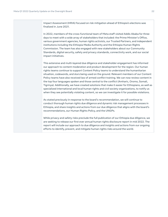Impact Assessment (HRIA) focused on risk mitigation ahead of Ethiopia's elections was finalized in June 2021.

In 2022, members of the cross-functional team of Meta staff visited Addis Ababa for three days to meet with a wide array of stakeholders that included: the Prime Minister's Office, various government agencies, human rights activists, our Trusted Partners, and independent institutions including the Ethiopia Media Authority and the Ethiopia Human Rights Commission. The team has also engaged with new stakeholders about our Community Standards, digital security, safety and privacy standards, connectivity work, and our social impact initiatives.

This extensive and multi-layered due diligence and stakeholder engagement has informed our approach to content moderation and product development for the region. Our human rights teams continue to support Content Policy teams to understand the humanitarian situation, codewords, and slurs being used on the ground. Relevant members of our Content Policy teams have also received law of armed conflict training. We can now review content in the top four languages spoken and those central to the conflict (Amharic, Oromo, Somali, Tigrinya). Additionally, we have created solutions that make it easier for Ethiopians, as well as specialized international and local human rights and civil society organizations, to notify us when they see potentially violating content, so we can investigate it for possible violations.

As stated previously in response to the board's recommendation, we will continue to conduct thorough human rights due diligence and dynamic risk management processes in Ethiopia, and share insights and actions from our due diligence that aligns with the board's recommendations, our Human Rights Policy, and the UNGPs.

<span id="page-21-0"></span>While privacy and safety risks preclude the full publication of our Ethiopia due diligence, we are seeking to release our first ever annual human rights disclosure report in mid 2022. The report will include our approach to due diligence and insights and actions from our ongoing efforts to identify, prevent, and mitigate human rights risks around the world.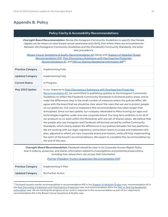## <span id="page-22-0"></span>**Appendix B. Policy**

#### **Policy Clarity & Accessibility Recommendations**

**Oversight Board Recommendation:** Revise the Instagram Community Guidelines to specify that female nipples can be shown to raise breast cancer awareness and clarify that where there are inconsistencies between the [Instagram] Community Guidelines and the [Facebook] Community Standards, the latter take precedence.

#### (Breast Cancer Symptoms & Nudity [Recommendation](https://transparency.fb.com/oversight/oversight-board-cases/breast-cancer-symptoms-nudity/) #2 (along with [Support](https://transparency.fb.com/oversight/oversight-board-cases/support-of-abdullah-ocalan-founder-of-the-pkk/) of Abdullah Öcalan [Recommendation](https://transparency.fb.com/oversight/oversight-board-cases/support-of-abdullah-ocalan-founder-of-the-pkk/) #10, Post Discussing <sup>a</sup> Substance with [Psychoactive](https://transparency.fb.com/oversight/oversight-board-cases/ayahuasca-substance/) Properties [Recommendation](https://transparency.fb.com/oversight/oversight-board-cases/ayahuasca-substance/) #1, and <u>PAO on Sharing Residential [Information](https://transparency.fb.com/pao-private-residential-information-policy/) #9</u>)8)

| <b>Previous Category</b>                                                                                                                                                                                                                                                                                                        | <b>Implementing Fully</b>                                                                                                                                                                                                                                                                                                                                                                                                                                                                                                                                                                                                                                                                                                                                                                                                                                                                                                                                                                                                                                                                                                                                                                                                                                                                                                                 |
|---------------------------------------------------------------------------------------------------------------------------------------------------------------------------------------------------------------------------------------------------------------------------------------------------------------------------------|-------------------------------------------------------------------------------------------------------------------------------------------------------------------------------------------------------------------------------------------------------------------------------------------------------------------------------------------------------------------------------------------------------------------------------------------------------------------------------------------------------------------------------------------------------------------------------------------------------------------------------------------------------------------------------------------------------------------------------------------------------------------------------------------------------------------------------------------------------------------------------------------------------------------------------------------------------------------------------------------------------------------------------------------------------------------------------------------------------------------------------------------------------------------------------------------------------------------------------------------------------------------------------------------------------------------------------------------|
| <b>Updated Category</b>                                                                                                                                                                                                                                                                                                         | <b>Implementing Fully</b>                                                                                                                                                                                                                                                                                                                                                                                                                                                                                                                                                                                                                                                                                                                                                                                                                                                                                                                                                                                                                                                                                                                                                                                                                                                                                                                 |
| <b>Current Status</b>                                                                                                                                                                                                                                                                                                           | In Progress                                                                                                                                                                                                                                                                                                                                                                                                                                                                                                                                                                                                                                                                                                                                                                                                                                                                                                                                                                                                                                                                                                                                                                                                                                                                                                                               |
| May 2022 Update                                                                                                                                                                                                                                                                                                                 | In our response to Post Discussing a Substance with Psychoactive Properties<br>Recommendation #1, we committed to publishing updates to the Instagram Community<br>Guidelines to reflect the Facebook Community Standards in all shared policy areas; and to<br>make the differences clear in the small number of instances where the policies differ. We<br>agree with the board that we should be clear about the rules that we use to protect people<br>on our platforms. Our work to implement this recommendation has taken longer than<br>anticipated. Since our last update, our company rebranded to Meta to bring our apps and<br>technologies together under one new corporate brand. Our long term ambition is for all of<br>our products to co-exist within the Metaverse with one set of shared values. We believe that<br>the people who use Instagram and Facebook will be best served by unified Community<br>Standards, which clearly explain the differences in our policies between the two platforms.<br>We are working with our legal, regulatory, and product teams to scope and implement this<br>plan, adjusted to reflect our new corporate brand and mission, while still fully implementing<br>the spirit of the board's recommendations. We expect to complete this recommendation by<br>the end of the year. |
| Oversight Board Recommendation: Facebook should be clear in its Corporate Human Rights Policy<br>how it collects, preserves, and shares information related to investigations and potential prosecutions,<br>including how researchers can access that information.<br>(Former President Trump's Suspension Recommendation #15) |                                                                                                                                                                                                                                                                                                                                                                                                                                                                                                                                                                                                                                                                                                                                                                                                                                                                                                                                                                                                                                                                                                                                                                                                                                                                                                                                           |
| <b>Previous Category</b>                                                                                                                                                                                                                                                                                                        | Implementing in Part                                                                                                                                                                                                                                                                                                                                                                                                                                                                                                                                                                                                                                                                                                                                                                                                                                                                                                                                                                                                                                                                                                                                                                                                                                                                                                                      |
| <b>Updated Category</b>                                                                                                                                                                                                                                                                                                         | No Further Action                                                                                                                                                                                                                                                                                                                                                                                                                                                                                                                                                                                                                                                                                                                                                                                                                                                                                                                                                                                                                                                                                                                                                                                                                                                                                                                         |

<sup>&</sup>lt;sup>8</sup> The board issued a similar recommendation in recommendation #10 in the Support of [Abdullah](https://transparency.fb.com/oversight/oversight-board-cases/support-of-abdullah-ocalan-founder-of-the-pkk/) Öcalan case, recommendation #1 in the Post Discussing a Substance with [Psychoactive](https://transparency.fb.com/oversight/oversight-board-cases/ayahuasca-substance/) Properties case, and recommendation #9 in the PAO on Sharing [Residential](https://transparency.fb.com/pao-private-residential-information-policy/) [Information](https://transparency.fb.com/pao-private-residential-information-policy/) case. We are tracking the progress of our work in response to this recommendation as part of our response to recommendation #2 in the Breast Cancer Symptoms & Nudity case.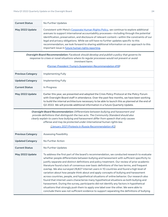| <b>Current Status</b> | No Further Updates                                                                                                                                                                                                                                                                                                                                                                                                                                                                                                                |
|-----------------------|-----------------------------------------------------------------------------------------------------------------------------------------------------------------------------------------------------------------------------------------------------------------------------------------------------------------------------------------------------------------------------------------------------------------------------------------------------------------------------------------------------------------------------------|
| May 2022 Update       | Consistent with Meta's Corporate Human Rights Policy, we continue to explore additional<br>avenues to support international accountability processes—including through the potential<br>identification, preservation, and disclosure of relevant content—within the constraints of our<br>legal and privacy obligations. While we will have no further updates specific to this<br>recommendation, we look forward to sharing additional information on our approach to this<br>important issue in future human rights reporting. |

**Oversight Board Recommendation:** Facebook should develop and publish <sup>a</sup> policy that governs its response to crises or novel situations where its regular processes would not prevent or avoid imminent harm.

(Former President Trump's Suspension [Recommendation](https://transparency.fb.com/oversight/oversight-board-cases/former-president-trump-suspension-from-facebook/) #19)

| <b>Previous Category</b> | Implementing Fully                                                                                                                                                                                                                                                                                                                                                         |
|--------------------------|----------------------------------------------------------------------------------------------------------------------------------------------------------------------------------------------------------------------------------------------------------------------------------------------------------------------------------------------------------------------------|
| <b>Updated Category</b>  | Implementing Fully                                                                                                                                                                                                                                                                                                                                                         |
| <b>Current Status</b>    | In Progress                                                                                                                                                                                                                                                                                                                                                                |
| May 2022 Update          | Earlier this year, we presented and adopted the Crisis Policy Protocol at the Policy Forum<br>with Oversight Board staff in attendance. Over the past few months, we have been working<br>to build the internal architecture necessary to be able to launch this as planned at the end of<br>Q2 2022. We will provide additional information in a future Quarterly Update. |

**Oversight Board Recommendation:** Differentiate between bullying and harassment and provide definitions that distinguish the two acts. The Community Standard should also clearly explain to users how bullying and harassment differ from speech that only causes offense and may be protected under international human rights law.

(January 2021 Protests in Russia [Recommendation](https://transparency.fb.com/oversight/oversight-board-cases/comment-related-to-january-2021-protests-in-russia/) #2)

<span id="page-23-0"></span>

| <b>Previous Category</b> | Assessing Feasibility                                                                                                                                                                                                                                                                                                                                                                                                                                                                                                                                                                                                                                                                                                                                                                                                                                                                                                                                                                                                                                        |
|--------------------------|--------------------------------------------------------------------------------------------------------------------------------------------------------------------------------------------------------------------------------------------------------------------------------------------------------------------------------------------------------------------------------------------------------------------------------------------------------------------------------------------------------------------------------------------------------------------------------------------------------------------------------------------------------------------------------------------------------------------------------------------------------------------------------------------------------------------------------------------------------------------------------------------------------------------------------------------------------------------------------------------------------------------------------------------------------------|
| <b>Updated Category</b>  | No Further Action                                                                                                                                                                                                                                                                                                                                                                                                                                                                                                                                                                                                                                                                                                                                                                                                                                                                                                                                                                                                                                            |
| <b>Current Status</b>    | No Further Updates                                                                                                                                                                                                                                                                                                                                                                                                                                                                                                                                                                                                                                                                                                                                                                                                                                                                                                                                                                                                                                           |
| May 2022 Update          | To address the first part of the board's recommendation, we conducted research to evaluate<br>whether people differentiate between bullying and harassment with sufficient specificity to<br>justify separate and distinct definitions and policy treatment. Our review of prior academic<br>literature found a lack of consensus over basic definitions of the two terms, and frequent<br>overlap. We also surveyed 29,827 internet users in 10 countries and found a high level of<br>variation about how people think about and apply concepts of bullying and harassment<br>across countries, people, and hypothetical situations of online behavior. Our research also<br>found that internet users characterize many hypothetical situations as both bullying and<br>harassment. During the survey, participants did not identify any factors in hypothetical<br>situations that strongly push them to apply one label over the other. We were able to<br>conclude there was not sufficient evidence to support separating the definitions of bullying |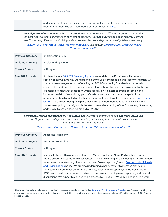and harassment in our policies. Therefore, we will have no further updates on this recommendation. You can read more about our research [here](https://research.facebook.com/file/993733407943277/perceptions_research_v2.pdf).

**Oversight Board Recommendation:** Clearly define Meta's approach to different target user categories and provide illustrative examples of each target category (i.e. who qualifies as <sup>a</sup> public figure). Format the Community Standard on Bullying and Harassment by user categories currently listed in the policy.

(January 2021 Protests in Russia [Recommendation](https://transparency.fb.com/oversight/oversight-board-cases/comment-related-to-january-2021-protests-in-russia/) #3 (along with [January](https://transparency.fb.com/oversight/oversight-board-cases/comment-related-to-january-2021-protests-in-russia/) 2021 Protests in Russia [Recommendation](https://transparency.fb.com/oversight/oversight-board-cases/comment-related-to-january-2021-protests-in-russia/) #4) 9 )

| <b>Previous Category</b> | Implementing Fully                                                                                                                                                                                                                                                                                                                                                                                                                                                                                                                                                                                                                                                                                                                                                                                                                                                                                 |
|--------------------------|----------------------------------------------------------------------------------------------------------------------------------------------------------------------------------------------------------------------------------------------------------------------------------------------------------------------------------------------------------------------------------------------------------------------------------------------------------------------------------------------------------------------------------------------------------------------------------------------------------------------------------------------------------------------------------------------------------------------------------------------------------------------------------------------------------------------------------------------------------------------------------------------------|
| <b>Updated Category</b>  | Implementing in Part                                                                                                                                                                                                                                                                                                                                                                                                                                                                                                                                                                                                                                                                                                                                                                                                                                                                               |
| <b>Current Status</b>    | In Progress                                                                                                                                                                                                                                                                                                                                                                                                                                                                                                                                                                                                                                                                                                                                                                                                                                                                                        |
| May 2022 Update          | As shared in our 04 2021 Quarterly Update, we updated the Bullying and Harassment<br>section of our Community Standards to clarify our policy based on this recommendation. We<br>shared these changes as part of our August 2021 Community Standards updates, which<br>included the addition of tiers and language clarifications. Rather than providing illustrative<br>examples of each target category, which could allow violators to evade detection and<br>increase the risk of jeopardizing people's safety, we plan to address the spirit of the<br>recommendation by including further details about each target category in our Transparency<br>Center. We are continuing to explore ways to share more details about our Bullying and<br>Harassment policy that align with the structure and readability of the Community Standards,<br>and we aim to share these examples by Q3 2021. |

<span id="page-24-0"></span>**Oversight Board Recommendation:** Add criteria and illustrative examples to its Dangerous Individuals and Organizations policy to increase understanding of the exceptions for neutral discussion, condemnation and news reporting.

(Al Jazeera Post on Tensions Between Israel and Palestine [Recommendation](https://transparency.fb.com/oversight/oversight-board-cases/al-jazeera-post-tensions-israel-palestine/) #1)

| <b>Previous Category</b> | <b>Assessing Feasibility</b>                                                                                                                                                                                                                                                                                                                                                                                                                                                                                                                                                                                                                                       |
|--------------------------|--------------------------------------------------------------------------------------------------------------------------------------------------------------------------------------------------------------------------------------------------------------------------------------------------------------------------------------------------------------------------------------------------------------------------------------------------------------------------------------------------------------------------------------------------------------------------------------------------------------------------------------------------------------------|
| <b>Updated Category</b>  | <b>Assessing Feasibility</b>                                                                                                                                                                                                                                                                                                                                                                                                                                                                                                                                                                                                                                       |
| <b>Current Status</b>    | In Progress                                                                                                                                                                                                                                                                                                                                                                                                                                                                                                                                                                                                                                                        |
| May 2022 Update          | In consultation with a number of teams at Meta — including News Partnerships, Human<br>Rights policy, and teams with local context — we are working on developing criteria intended<br>to increase understanding of what constitutes "news reporting" in our Dangerous Individuals<br>and Organizations policy. We are also undergoing a policy review to increase clarity and<br>transparency around our definitions of Praise, Substantive Support, and Representation<br>(PSR) and the allowable carve-outs from those terms, including news reporting and neutral<br>discussions. We expect to conclude this process by Q4 2022. We will also continue to work |

<sup>&</sup>lt;sup>9</sup> The board issued a similar recommendation in recommendation #4 in the January 2021 [Protests](https://transparency.fb.com/oversight/oversight-board-cases/comment-related-to-january-2021-protests-in-russia/) in Russia case. We are tracking the progress of our work in response to this recommendation as part of our response to recommendation #3 in the January 2021 Protests in Russia case.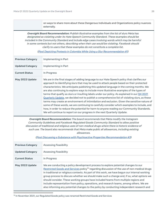on ways to share more about these Dangerous Individuals and Organizations policy nuances externally.

**Oversight Board Recommendation:** Publish illustrative examples from the list of slurs Meta has designated as violating under its Hate Speech Community Standard. These examples should be included in the Community Standard and include edge cases involving words which may be harmful in some contexts but not others, describing when their use would be violating. Facebook should clarify to users that these examples do not constitute <sup>a</sup> complete list.

(Post Depicting Protests in Colombia While Using <sup>a</sup> Slur [Recommendation](https://transparency.fb.com/oversight/oversight-board-cases/protests-colombia-while-using-slur/) #1)

| <b>Previous Category</b> | Implementing in Part                                                                                                                                                                                                                                                                                                                                                                                                                                                                                                                                                                                                                                                                                                                                                                                                                                                                                                                                       |
|--------------------------|------------------------------------------------------------------------------------------------------------------------------------------------------------------------------------------------------------------------------------------------------------------------------------------------------------------------------------------------------------------------------------------------------------------------------------------------------------------------------------------------------------------------------------------------------------------------------------------------------------------------------------------------------------------------------------------------------------------------------------------------------------------------------------------------------------------------------------------------------------------------------------------------------------------------------------------------------------|
| <b>Updated Category</b>  | Implementing in Part                                                                                                                                                                                                                                                                                                                                                                                                                                                                                                                                                                                                                                                                                                                                                                                                                                                                                                                                       |
| <b>Current Status</b>    | In Progress                                                                                                                                                                                                                                                                                                                                                                                                                                                                                                                                                                                                                                                                                                                                                                                                                                                                                                                                                |
| May 2022 Update          | We are in the final stages of adding language to our Hate Speech policy that clarifies our<br>approach to identifying slurs that may be used to attack people based on their protected<br>characteristics. We anticipate publishing this updated language in the coming months. We<br>are also continuing to explore ways to include more illustrative examples of the types of<br>terms that qualify as slurs or insulting labels under our policy. As explained in our $Q42021$<br>Quarterly Update, we decided not to publish a comprehensive list of violating slurs, as these<br>terms may create an environment of intimidation and exclusion. Given the sensitive nature of<br>some of these words, we are continuing to carefully consider which examples to include, and<br>how, in order to reduce the potential for harm to anyone reading our Community Standards.<br>We will continue to report on our progress in the next Quarterly Update. |

**Oversight Board Recommendation:** The board recommends that Meta modify the Instagram Community Guidelines and Facebook Regulated Goods Community Standard to allow positive discussion of traditional and religious uses of non-medical drugs where there is historic evidence of such use. The board also recommends that Meta make public all allowances, including existing allowances.

(Post Discussing <sup>a</sup> Substance with Psychoactive Properties [Recommendation](https://transparency.fb.com/oversight/oversight-board-cases/ayahuasca-substance/) #3)

| <b>Previous Category</b> | <b>Assessing Feasibility</b>                                                                                                                                                                                                                                                                                                                                                                                                                                                                                                                                                                                                                                                 |
|--------------------------|------------------------------------------------------------------------------------------------------------------------------------------------------------------------------------------------------------------------------------------------------------------------------------------------------------------------------------------------------------------------------------------------------------------------------------------------------------------------------------------------------------------------------------------------------------------------------------------------------------------------------------------------------------------------------|
| <b>Updated Category</b>  | <b>Assessing Feasibility</b>                                                                                                                                                                                                                                                                                                                                                                                                                                                                                                                                                                                                                                                 |
| <b>Current Status</b>    | In Progress                                                                                                                                                                                                                                                                                                                                                                                                                                                                                                                                                                                                                                                                  |
| May 2022 Update          | We are conducting a policy development process to explore potential changes to our<br>Restricted Goods and Services policy <sup>10</sup> regarding discussion of the use of non-medical drugs<br>in traditional or religious contexts. As part of this work, we have begun our internal working<br>group process to discuss whether we should make such a change and, if so, what options we<br>should consider. These working groups have included teams from multiple regions and<br>include representation from policy, operations, and research teams, among others. We are<br>also informing any potential changes to the policy by conducting independent research and |

 $^{\text{10}}$  In November 2021, our Regulated Goods policy was renamed Restricted Goods and Services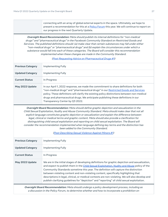connecting with an array of global external experts in the space. Ultimately, we hope to present a recommendation for this at a Policy [Forum](https://about.fb.com/news/2018/11/content-standards-forum-minutes/) this year. We will continue to report on our progress in the next Quarterly Update.

**Oversight Board Recommendation:** Meta should publish its internal definitions for "non-medical drugs" and "pharmaceutical drugs" in the Facebook Community Standard on Restricted Goods and Services. The published definitions should: (a) make clear that certain substances may fall under either "non-medical drugs" or "pharmaceutical drugs" and (b) explain the circumstances under which <sup>a</sup> substance would fall into each of these categories. The Board will consider this recommendation implemented when these changes are made in the Community Standard.

## (Post Requesting Advice on [Pharmaceutical](https://transparency.fb.com/asking-for-adderall) Drugs #1) **Previous Category** | Implementing Fully **Updated Category** Implementing Fully **Current Status** In Progress **May 2022 Update** In our April 1, 2022 response, we made the commitment to share definitions for both "non-medical drugs" and "pharmaceutical drugs" in our [Restricted](https://transparency.fb.com/policies/community-standards/regulated-goods/) Goods and Services policy. These definitions will clarify the existing policy distinctions between non-medical drugs and pharmaceutical drugs. We anticipate publishing these definitions in our Transparency Center by Q3 2022.

**Oversight Board Recommendation:** Meta should define graphic depiction and sexualization in the Child Sexual Exploitation, Nudity and Abuse Community Standard. Meta should make clear that not all explicit language constitutes graphic depiction or sexualization and explain the difference between legal, clinical or medical terms and graphic content. Meta should also provide <sup>a</sup> clarification for distinguishing child sexual exploitation and reporting on child sexual exploitation. The Board will consider the recommendation implemented when language defining key terms and the distinction has been added to the Community Standard.

(Post [Describing](https://transparency.fb.com/swedish-journalist) Sexual Violence Against Minors #1)

| <b>Previous Category</b> | Implementing Fully                                                                                                                                                                                                                                                                                                                                                                                                                                                                                                                                                              |
|--------------------------|---------------------------------------------------------------------------------------------------------------------------------------------------------------------------------------------------------------------------------------------------------------------------------------------------------------------------------------------------------------------------------------------------------------------------------------------------------------------------------------------------------------------------------------------------------------------------------|
| <b>Updated Category</b>  | Implementing Fully                                                                                                                                                                                                                                                                                                                                                                                                                                                                                                                                                              |
| <b>Current Status</b>    | In Progress                                                                                                                                                                                                                                                                                                                                                                                                                                                                                                                                                                     |
| May 2022 Update          | We are in the initial stages of developing definitions for graphic depiction and sexualization,<br>and expect to publish them in the Child Sexual Exploitation, Nudity and Abuse policy of the<br>Community Standards sometime this year. The definition will capture the distinction<br>between violating content and non-violating content, specifically highlighting that<br>descriptions in legal, clinical, or medical contexts are non-violating. We will also develop and<br>publish clarifying guidelines for "depiction" and "reporting" of child sexual exploitation. |

**Oversight Board Recommendation:** Meta should undergo <sup>a</sup> policy development process, including as <sup>a</sup> discussion in the Policy Forum, to determine whether and how to incorporate <sup>a</sup> prohibition on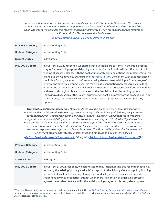functional identification of child victims of sexual violence in its Community Standards. This process should include stakeholder and expert engagement on functional identification and the rights of the child. The Board will consider this recommendation implemented when Meta publishes the minutes of the Product Policy Forum where this is discussed.

(Post [Describing](https://transparency.fb.com/swedish-journalist) Sexual Violence Against Minors #2)

| <b>Previous Category</b>                                                                                                                                                                                                                                                                                     | <b>Implementing Fully</b>                                                                                                                                                                                                                                                                                                                                                                                                                                                                                                                                                                                                                                                                                                                                                                                                                                                                                                                                                   |
|--------------------------------------------------------------------------------------------------------------------------------------------------------------------------------------------------------------------------------------------------------------------------------------------------------------|-----------------------------------------------------------------------------------------------------------------------------------------------------------------------------------------------------------------------------------------------------------------------------------------------------------------------------------------------------------------------------------------------------------------------------------------------------------------------------------------------------------------------------------------------------------------------------------------------------------------------------------------------------------------------------------------------------------------------------------------------------------------------------------------------------------------------------------------------------------------------------------------------------------------------------------------------------------------------------|
| <b>Updated Category</b>                                                                                                                                                                                                                                                                                      | Implementing Fully                                                                                                                                                                                                                                                                                                                                                                                                                                                                                                                                                                                                                                                                                                                                                                                                                                                                                                                                                          |
| <b>Current Status</b>                                                                                                                                                                                                                                                                                        | In Progress                                                                                                                                                                                                                                                                                                                                                                                                                                                                                                                                                                                                                                                                                                                                                                                                                                                                                                                                                                 |
| May 2022 Update                                                                                                                                                                                                                                                                                              | In our April 1, 2022 response, we shared that our teams are currently in the initial scoping<br>stages for developing a potential policy that prohibits the functional identification of child<br>victims of sexual violence, with the goal of ultimately bringing options for implementing this<br>change to the Community Standards to the Policy Forum. Consistent with past meetings of<br>the Policy Forum, we intend to inform our policy development with input from a range of<br>internal and external perspectives. This may include conducting new research, consulting<br>internal and external experts in areas such as freedom of expression and safety, and working<br>with teams throughout Meta to understand the feasibility of implementing options.<br>Following a discussion at the Policy Forum, we will post a summary of the proceedings in our<br>Transparency Center. We will continue to report on our progress in the next Quarterly<br>Update. |
| Oversight Board Recommendation: Meta should remove the exception that allows the sharing of<br>private residential information (both images that currently fulfill the Privacy Violations policy's criteria<br>for takedown and 10 addresses) when considered "publicly available". This means Meta would no |                                                                                                                                                                                                                                                                                                                                                                                                                                                                                                                                                                                                                                                                                                                                                                                                                                                                                                                                                                             |

for takedown and 10 addresses) when considered "publicly available". This means Meta would no longer allow otherwise violating content on Facebook and on Instagram if "published by at least five news outlets" or if it contains residential addresses or imagery from financial records or statements of an organization, court records, professional and business licenses, sex offender registries or press releases from government agencies, or law enforcement. The Board will consider this implemented when Meta modifies its Internal Implementation Standards and its content policies.

(PAO on Sharing Residential [Information](https://transparency.fb.com/pao-private-residential-information-policy/) #1 (along with PAO on Sharing Residential Information #3)<sup>11</sup>)

| <b>Previous Category</b> | Implementing Fully                                                                                                                                                                                                                                                                                                                                                                                                                                                                |
|--------------------------|-----------------------------------------------------------------------------------------------------------------------------------------------------------------------------------------------------------------------------------------------------------------------------------------------------------------------------------------------------------------------------------------------------------------------------------------------------------------------------------|
| <b>Updated Category</b>  | Implementing Fully                                                                                                                                                                                                                                                                                                                                                                                                                                                                |
| <b>Current Status</b>    | In Progress                                                                                                                                                                                                                                                                                                                                                                                                                                                                       |
| May 2022 Update          | In our April 8, 2022 response, we committed to fully implementing this recommendation by<br>removing the existing "publicly available" exception to the Privacy Violations policy. In doing<br>so, we will also allow the sharing of imagery that displays the external view of private<br>residences in various scenarios, but not when there is a context of organizing protests<br>against the resident. We are still in the initial scoping stages of this policy development |

<sup>&</sup>lt;sup>11</sup> The board issued a similar recommendation in recommendation #3 in the PAO on Sharing Residential [Information](https://transparency.fb.com/pao-private-residential-information-policy/) case. We are tracking the progress of our work in response to this recommendation as part of our response to recommendation #1 in the PAO on Sharing Residential Information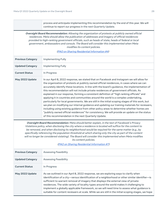process and anticipate implementing this recommendation by the end of this year. We will continue to report our progress in the next Quarterly Update.

**Oversight Board Recommendation:** Allowing the organization of protests at publicly owned official residences. Meta should allow the publication of addresses and imagery of official residences provided to high-ranking government officials, such as heads of state, heads of federal or local government, ambassadors and consuls. The Board will consider this implemented when Meta modifies its content policies.

(PAO on Sharing Residential [Information](https://transparency.fb.com/pao-private-residential-information-policy/) #4)

| <b>Previous Category</b>                                                                                                                                                                                                                                                                                                                                                                                                                                                                                                                                                                                 | Implementing Fully                                                                                                                                                                                                                                                                                                                                                                                                                                                                                                                                                                                                                                                                                                                                                                                                                                                                                                                                                                                                            |
|----------------------------------------------------------------------------------------------------------------------------------------------------------------------------------------------------------------------------------------------------------------------------------------------------------------------------------------------------------------------------------------------------------------------------------------------------------------------------------------------------------------------------------------------------------------------------------------------------------|-------------------------------------------------------------------------------------------------------------------------------------------------------------------------------------------------------------------------------------------------------------------------------------------------------------------------------------------------------------------------------------------------------------------------------------------------------------------------------------------------------------------------------------------------------------------------------------------------------------------------------------------------------------------------------------------------------------------------------------------------------------------------------------------------------------------------------------------------------------------------------------------------------------------------------------------------------------------------------------------------------------------------------|
| <b>Updated Category</b>                                                                                                                                                                                                                                                                                                                                                                                                                                                                                                                                                                                  | Implementing Fully                                                                                                                                                                                                                                                                                                                                                                                                                                                                                                                                                                                                                                                                                                                                                                                                                                                                                                                                                                                                            |
| <b>Current Status</b>                                                                                                                                                                                                                                                                                                                                                                                                                                                                                                                                                                                    | In Progress                                                                                                                                                                                                                                                                                                                                                                                                                                                                                                                                                                                                                                                                                                                                                                                                                                                                                                                                                                                                                   |
| May 2022 Update                                                                                                                                                                                                                                                                                                                                                                                                                                                                                                                                                                                          | In our April 8, 2022 response, we stated that on Facebook and Instagram we will allow for<br>the organization of protests at publicly owned official residences, in cases where we can<br>accurately identify these locations. In line with the board's guidance, the implementation of<br>this recommendation will not include private residences of government officials. As<br>explained in our response, forming a consistent definition of "high ranking officials" and<br>applying it in countries and communities around the world is a complex undertaking,<br>particularly for local governments. We are still in the initial scoping stages of this work, but<br>we plan on modifying our internal guidance and updating our training materials for reviewers,<br>including using existing guidance from other policy areas to determine whether homes are<br>"publicly owned official residences" for consistency. We will provide an update on the status<br>of this recommendation in the next Quarterly Update. |
| Oversight Board Recommendation: Meta should better explain, in the text of Facebook's Privacy<br>Violations policy, when disclosing the city where a residence is located will suffice for the content to<br>be removed, and when disclosing its neighborhood would be required for the same matter (e.g., by<br>specifically referencing the population threshold at which sharing only the city as part of the content<br>will no longer be considered violating). The Board will consider this implemented when Meta modifies<br>its content policies.<br>(PAO on Sharing Residential Information #7) |                                                                                                                                                                                                                                                                                                                                                                                                                                                                                                                                                                                                                                                                                                                                                                                                                                                                                                                                                                                                                               |
| <b>Previous Category</b>                                                                                                                                                                                                                                                                                                                                                                                                                                                                                                                                                                                 | <b>Assessing Feasibility</b>                                                                                                                                                                                                                                                                                                                                                                                                                                                                                                                                                                                                                                                                                                                                                                                                                                                                                                                                                                                                  |
| <b>Updated Category</b>                                                                                                                                                                                                                                                                                                                                                                                                                                                                                                                                                                                  | <b>Assessing Feasibility</b>                                                                                                                                                                                                                                                                                                                                                                                                                                                                                                                                                                                                                                                                                                                                                                                                                                                                                                                                                                                                  |
| <b>Current Status</b>                                                                                                                                                                                                                                                                                                                                                                                                                                                                                                                                                                                    | In Progress                                                                                                                                                                                                                                                                                                                                                                                                                                                                                                                                                                                                                                                                                                                                                                                                                                                                                                                                                                                                                   |
| May 2022 Update                                                                                                                                                                                                                                                                                                                                                                                                                                                                                                                                                                                          | As we outlined in our April 8, 2022 response, we are exploring ways to clarify when<br>identification of a city-versus identification of a neighborhood or other similar identifier-is<br>sufficient to warrant removal of imagery that displays the external view of private<br>residences. The wide variety of locality types around the world makes it challenging to<br>implement a globally applicable framework, so we will need time to assess what guidance is<br>suitable for content reviewers at scale. While we are still in the initial scoping stages, we hope                                                                                                                                                                                                                                                                                                                                                                                                                                                  |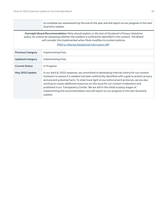|                                                                                                                                                                                                                                                                                                                                             | to complete our assessment by the end of the year and will report on our progress in the next<br>Quarterly Update.                                                                                                                                                                                                                                                                                                                                                                                                                                                              |  |  |  |
|---------------------------------------------------------------------------------------------------------------------------------------------------------------------------------------------------------------------------------------------------------------------------------------------------------------------------------------------|---------------------------------------------------------------------------------------------------------------------------------------------------------------------------------------------------------------------------------------------------------------------------------------------------------------------------------------------------------------------------------------------------------------------------------------------------------------------------------------------------------------------------------------------------------------------------------|--|--|--|
| Oversight Board Recommendation: Meta should explain, in the text of Facebook's Privacy Violations<br>policy, its criteria for assessing whether the resident is sufficiently identified in the content. The Board<br>will consider this implemented when Meta modifies its content policies.<br>(PAO on Sharing Residential Information #8) |                                                                                                                                                                                                                                                                                                                                                                                                                                                                                                                                                                                 |  |  |  |
| <b>Previous Category</b>                                                                                                                                                                                                                                                                                                                    | Implementing Fully                                                                                                                                                                                                                                                                                                                                                                                                                                                                                                                                                              |  |  |  |
| <b>Updated Category</b>                                                                                                                                                                                                                                                                                                                     | <b>Implementing Fully</b>                                                                                                                                                                                                                                                                                                                                                                                                                                                                                                                                                       |  |  |  |
| <b>Current Status</b>                                                                                                                                                                                                                                                                                                                       | In Progress                                                                                                                                                                                                                                                                                                                                                                                                                                                                                                                                                                     |  |  |  |
| May 2022 Update                                                                                                                                                                                                                                                                                                                             | In our April 8, 2022 response, we committed to developing internal criteria for our content<br>reviewers to assess if a resident has been sufficiently identified with a goal to protect privacy<br>and prevent potential harm. To shed more light on our enforcement protocols, we are also<br>working to create additional resources on this issue for our content moderators and<br>published in our Transparency Center. We are still in the initial scoping stages of<br>implementing this recommendation and will report on our progress in the next Quarterly<br>Update. |  |  |  |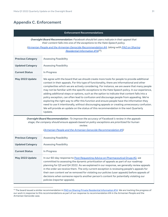## <span id="page-30-0"></span>**Appendix C. Enforcement**

#### **Enforcement Recommendations**

**Oversight Board Recommendation:** Facebook should let users indicate in their appeal that their content falls into one of the exceptions to the Hate Speech policy.

(Armenian People and the Armenian Genocide [Recommendation](https://transparency.fb.com/oversight/oversight-board-cases/comment-related-to-armenian-people-and-the-armenian-genocide/) #4, (along with PAO on [Sharing](https://transparency.fb.com/pao-private-residential-information-policy/) Residential [Information](https://transparency.fb.com/pao-private-residential-information-policy/) #14)<sup>12</sup>)

<span id="page-30-1"></span>

| <b>Previous Category</b>                                                                                                                                                                                 | <b>Assessing Feasibility</b>                                                                                                                                                                                                                                                                                                                                                                                                                                                                                                                                                                                                                                                                                                                                                                                                                                                             |  |
|----------------------------------------------------------------------------------------------------------------------------------------------------------------------------------------------------------|------------------------------------------------------------------------------------------------------------------------------------------------------------------------------------------------------------------------------------------------------------------------------------------------------------------------------------------------------------------------------------------------------------------------------------------------------------------------------------------------------------------------------------------------------------------------------------------------------------------------------------------------------------------------------------------------------------------------------------------------------------------------------------------------------------------------------------------------------------------------------------------|--|
| <b>Updated Category</b>                                                                                                                                                                                  | <b>Assessing Feasibility</b>                                                                                                                                                                                                                                                                                                                                                                                                                                                                                                                                                                                                                                                                                                                                                                                                                                                             |  |
| <b>Current Status</b>                                                                                                                                                                                    | In Progress                                                                                                                                                                                                                                                                                                                                                                                                                                                                                                                                                                                                                                                                                                                                                                                                                                                                              |  |
| May 2022 Update                                                                                                                                                                                          | We agree with the board that we should create more tools for people to provide additional<br>context in their appeals. For this type of functionality, there are informational and other<br>complexities which we are actively considering. For instance, we are aware that many people<br>may not be familiar with the specific exceptions to the Hate Speech policy. In our experience,<br>adding additional steps or options, such as the option to indicate that content falls into a<br>policy exception, can often lead to confusion and discourage people from appealing. We're<br>exploring the right way to offer this function and ensure people have the information they<br>need to use it intentionally, without discouraging appeals or creating unnecessary confusion.<br>We will provide an update on the status of this recommendation in the next Quarterly<br>Update. |  |
| Oversight Board Recommendation : To improve the accuracy of Facebook's review in the appeals<br>stage, the company should ensure appeals based on policy exceptions are prioritized for human<br>review. |                                                                                                                                                                                                                                                                                                                                                                                                                                                                                                                                                                                                                                                                                                                                                                                                                                                                                          |  |
|                                                                                                                                                                                                          | (Armenian People and the Armenian Genocide Recommendation #5)                                                                                                                                                                                                                                                                                                                                                                                                                                                                                                                                                                                                                                                                                                                                                                                                                            |  |
| <b>Previous Category</b>                                                                                                                                                                                 | <b>Assessing Feasibility</b>                                                                                                                                                                                                                                                                                                                                                                                                                                                                                                                                                                                                                                                                                                                                                                                                                                                             |  |
| <b>Updated Category</b>                                                                                                                                                                                  | <b>Assessing Feasibility</b>                                                                                                                                                                                                                                                                                                                                                                                                                                                                                                                                                                                                                                                                                                                                                                                                                                                             |  |
| <b>Current Status</b>                                                                                                                                                                                    | In Progress                                                                                                                                                                                                                                                                                                                                                                                                                                                                                                                                                                                                                                                                                                                                                                                                                                                                              |  |
|                                                                                                                                                                                                          |                                                                                                                                                                                                                                                                                                                                                                                                                                                                                                                                                                                                                                                                                                                                                                                                                                                                                          |  |

| May 2022 Update | In our 60-day response to Post Requesting Advice on Pharmaceutical Drugs #2, we             |
|-----------------|---------------------------------------------------------------------------------------------|
|                 | committed to assessing the dynamic prioritization of appeals as part of our roadmap         |
|                 | planning for Q3 and Q4 2022. As we explained in our response, we generally review appeals   |
|                 | in the order we receive them. The only current exception is reviewing people's appeals for  |
|                 | their own content we've removed for violating our policies (user appeals) before appeals of |
|                 | decisions when someone reports another person's content for potentially violating our       |
|                 | policies (reporter appeals).                                                                |
|                 |                                                                                             |

<sup>&</sup>lt;sup>12</sup> The board issued a similar recommendation in **PAO on Sharing Private Residential [Information](https://transparency.fb.com/pao-private-residential-information-policy/) #14**. We are tracking the progress of our work in response to this recommendations as part of our response to recommendation #4 in the Armenian People and the Armenian Genocide case.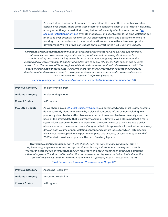As a part of our assessment, we need to understand the tradeoffs of prioritizing certain appeals over others. There are multiple factors to consider as part of prioritization including, among other things, speed (first come, first serve), severity of enforcement action [\(an](#page-31-0) account [restriction](#page-31-0) prioritized over other appeals), and user history (first-time violations get prioritized over potential recidivists). Our engineering, policy, and operations teams are working to better understand these considerations and scope the subsequent product development. We will provide an update on this effort in the next Quarterly Update.

**Oversight Board Recommendation :** Conduct accuracy assessments focused on Hate Speech policy allowances that cover artistic expression and expression about human rights violations (e.g., condemnation, awareness raising, self-referential use, empowering use). This includes how the location of <sup>a</sup> reviewer impacts the ability of moderators to accurately assess hate speech and counter speech from the same or different regions. Meta should share the results of this assessment with the board, including how these results will inform improvements to enforcement operations and policy development and whether it plans to run regular reviewer accuracy assessments on these allowances, and summarize the results in its Quarterly Updates.

| <b>Previous Category</b> | Implementing in Part                                                                                                                                                                                                                                                                                                                                                                                                                                                                                                                                                                                                                                                                                                                                                                                                          |
|--------------------------|-------------------------------------------------------------------------------------------------------------------------------------------------------------------------------------------------------------------------------------------------------------------------------------------------------------------------------------------------------------------------------------------------------------------------------------------------------------------------------------------------------------------------------------------------------------------------------------------------------------------------------------------------------------------------------------------------------------------------------------------------------------------------------------------------------------------------------|
| <b>Updated Category</b>  | Implementing in Part                                                                                                                                                                                                                                                                                                                                                                                                                                                                                                                                                                                                                                                                                                                                                                                                          |
| <b>Current Status</b>    | In Progress                                                                                                                                                                                                                                                                                                                                                                                                                                                                                                                                                                                                                                                                                                                                                                                                                   |
| May 2022 Update          | As we shared in our Q4 2021 Quarterly Update, our automated and manual review systems<br>do not currently identify reasons why a piece of content is left up as non-violating. We<br>previously described our effort to assess whether it was feasible to run an analysis on the<br>basis of the limited data that is currently available. Ultimately, we determined that a more<br>system-level option for better understanding the accuracy rates of how we apply policy<br>allowances would be more accurate. Our goal is that this approach will provide the necessary<br>data on both volume of non-violating content and capture labels for which Hate Speech<br>allowances were applied. We expect to complete this accuracy assessment by the end of<br>2022 and will provide an update in the next Quarterly Update. |

(Depicting Indigenous Artwork and Discussing Residential Schools [Recommendation](https://transparency.fb.com/oversight/oversight-board-cases/indigenous-artwork-residential-schools/) #3)

**Oversight Board Recommendation :** Meta should study the consequences and trade-offs of implementing <sup>a</sup> dynamic prioritization system that orders appeals for human review, and consider whether the fact that an enforcement decision resulted in an account restriction should be <sup>a</sup> criterion within this system. The Board will consider this recommendation implemented when Meta shares the results of these investigations with the Board and in its quarterly Board transparency report.

#### (Post Requesting Advice on [Pharmaceutical](https://transparency.fb.com/asking-for-adderall) Drugs #2)

<span id="page-31-0"></span>

| <b>Previous Category</b> | <b>Assessing Feasibility</b> |
|--------------------------|------------------------------|
| Updated Category         | <b>Assessing Feasibility</b> |
| <b>Current Status</b>    | In Progress                  |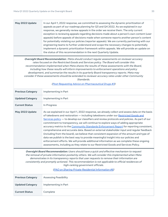**Current Status** Complete

| May 2022 Update          | In our April 1, 2022 response, we committed to assessing the dynamic prioritization of<br>appeals as part of our roadmap planning for Q3 and Q4 2022. As we explained in our<br>response, we generally review appeals in the order we receive them. The only current<br>exception is reviewing appeals regarding decisions made about a person's own content (user<br>appeals) before appeals of decisions made when someone reports another person's content<br>for potentially violating our policies (reporter appeals). We are currently partnering with our<br>engineering teams to further understand and scope the necessary changes to potentially<br>implement a dynamic prioritization framework within appeals. We will provide an update on<br>the status of this recommendation in the next Quarterly Update.                                                                                                                  |  |  |  |
|--------------------------|---------------------------------------------------------------------------------------------------------------------------------------------------------------------------------------------------------------------------------------------------------------------------------------------------------------------------------------------------------------------------------------------------------------------------------------------------------------------------------------------------------------------------------------------------------------------------------------------------------------------------------------------------------------------------------------------------------------------------------------------------------------------------------------------------------------------------------------------------------------------------------------------------------------------------------------------|--|--|--|
|                          | Oversight Board Recommendation: Meta should conduct regular assessments on reviewer accuracy<br>rates focused on the Restricted Goods and Services policy. The Board will consider this<br>recommendation implemented when Meta shares the results of these assessments with the Board,<br>including how these results will inform improvements to enforcement operations and policy<br>development, and summarize the results in its quarterly Board transparency reports. Meta may<br>consider if these assessments should be extended to reviewer accuracy rates under other Community<br>Standards.<br>(Post Requesting Advice on Pharmaceutical Drugs #3)                                                                                                                                                                                                                                                                              |  |  |  |
| <b>Previous Category</b> | Implementing in Part                                                                                                                                                                                                                                                                                                                                                                                                                                                                                                                                                                                                                                                                                                                                                                                                                                                                                                                        |  |  |  |
| <b>Updated Category</b>  | Implementing in Part                                                                                                                                                                                                                                                                                                                                                                                                                                                                                                                                                                                                                                                                                                                                                                                                                                                                                                                        |  |  |  |
| <b>Current Status</b>    | In Progress                                                                                                                                                                                                                                                                                                                                                                                                                                                                                                                                                                                                                                                                                                                                                                                                                                                                                                                                 |  |  |  |
| May 2022 Update          | As we explained in our April 1, 2022 response, we already collect and assess data on the basis<br>of takedowns and restoration - including takedowns under our Restricted Goods and<br>Services policy - to develop our classifiers and review protocols and policies. As part of our<br>commitment to transparency, we will continue to explore ways of adding appropriate<br>accuracy metrics to the Community Standards Enforcement Report for reporting consistent,<br>comprehensive and accurate data. Based on external stakeholder input and regular feedback<br>(including from the board), we believe that consistent expansion of the amount and type of<br>data we publish is the best way to provide meaningful insight into our policies and<br>enforcement efforts. We will provide additional information as we complete these ongoing<br>assessments, including as they relate to our Restricted Goods and Services Policy. |  |  |  |
|                          | Oversight Board Recommendation: Users should have a quick and effective mechanism to request<br>the removal of private information posted by others. We will consider this implemented when Meta<br>demonstrates in its transparency reports that user requests to remove their information are<br>consistently and promptly actioned. This recommendation is not applicable to official residences of<br>high-ranking government officials.<br>(PAO on Sharing Private Residential Information #6)                                                                                                                                                                                                                                                                                                                                                                                                                                         |  |  |  |
| <b>Previous Category</b> | <b>Assessing Feasibility</b>                                                                                                                                                                                                                                                                                                                                                                                                                                                                                                                                                                                                                                                                                                                                                                                                                                                                                                                |  |  |  |
| <b>Updated Category</b>  | Implementing in Part                                                                                                                                                                                                                                                                                                                                                                                                                                                                                                                                                                                                                                                                                                                                                                                                                                                                                                                        |  |  |  |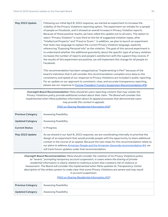**May 2022 Update** Following our initial April 8, 2022 response, we started an experiment to increase the visibility of the Privacy Violations reporting option. The experiment ran initially for a sample of people on Facebook, and it showed an overall increase in Privacy Violation reports. Because of these positive results, we have rolled this update out to all users. The option to select "Privacy Violation" is now third on the list of suggested violation types, after "Intellectual Property" and "Fraud or Scam." In addition, we plan to launch an experiment that tests new language to replace the current Privacy Violation language, explicitly referencing "Exposing Personal Info" as the violation. The goal of this second experiment is to understand whether the additional granularity about the specific type of privacy violation increases the number of reports and people's satisfaction with the support they receive. If the results of this experiment are positive, we will implement this change for all people on Facebook.

> This recommendation has been categorized as "Implementing in Part" because of the board's indication that it will consider this recommendation complete once data on the consistency and speed of our response to Privacy Violations are included in public reporting. For an update on our approach to consistent, clear, and accurate transparency reporting, please see our response to Former President Trump's Suspension Recommendation #18.

**Oversight Board Recommendation:** Meta should let users reporting content that may violate the Privacy Violations policy provide additional context about their claim. The Board will consider this implemented when Meta publishes information about its appeal processes that demonstrate users may provide this context in appeals.

(PAO on Sharing Residential [Information](https://transparency.fb.com/pao-private-residential-information-policy/) #10)

| <b>Previous Category</b> | <b>Assessing Feasibility</b>                                                                                                                                                                                                                                                                                                                                                                                                               |
|--------------------------|--------------------------------------------------------------------------------------------------------------------------------------------------------------------------------------------------------------------------------------------------------------------------------------------------------------------------------------------------------------------------------------------------------------------------------------------|
| <b>Updated Category</b>  | Assessing Feasibility                                                                                                                                                                                                                                                                                                                                                                                                                      |
| <b>Current Status</b>    | In Progress                                                                                                                                                                                                                                                                                                                                                                                                                                |
| May 2022 Update          | As we shared in our April 8, 2022 response, we are coordinating internally to prioritize the<br>design of an experiment that would provide people with the opportunity to share additional<br>context in the course of an appeal. Because the next steps for this recommendation relate to<br>our plans to address Armenian People and the Armenian Genocide recommendation #4, we<br>will track future updates under that recommendation. |

**Oversight Board Recommendation:** Meta should consider the violation of its Privacy Violations policy as "severe," prompting temporary account suspension, in cases where the sharing of private residential information is clearly related to malicious action that created <sup>a</sup> risk of violence or harassment. The Board will consider this implemented when Meta updates its Transparency Center description of the strikes system to make clear that some Privacy Violations are severe and may result in account suspension.

(PAO on Sharing Residential [Information](https://transparency.fb.com/pao-private-residential-information-policy/) #12)

| <b>Previous Category</b> | <b>Assessing Feasibility</b> |
|--------------------------|------------------------------|
| Updated Category         | <b>Assessing Feasibility</b> |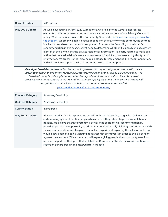| <b>Current Status</b>                                                                                                                                                                                                                                                                                                                                                                                                                                                                                                                         | In Progress                                                                                                                                                                                                                                                                                                                                                                                                                                                                                                                                                                                                                                                                                                                                                                                                                                                                                                                                      |  |
|-----------------------------------------------------------------------------------------------------------------------------------------------------------------------------------------------------------------------------------------------------------------------------------------------------------------------------------------------------------------------------------------------------------------------------------------------------------------------------------------------------------------------------------------------|--------------------------------------------------------------------------------------------------------------------------------------------------------------------------------------------------------------------------------------------------------------------------------------------------------------------------------------------------------------------------------------------------------------------------------------------------------------------------------------------------------------------------------------------------------------------------------------------------------------------------------------------------------------------------------------------------------------------------------------------------------------------------------------------------------------------------------------------------------------------------------------------------------------------------------------------------|--|
| May 2022 Update                                                                                                                                                                                                                                                                                                                                                                                                                                                                                                                               | As we discussed in our April 8, 2022 response, we are exploring ways to incorporate<br>elements of this recommendation into how we enforce violations of our Privacy Violations<br>policy. When someone violates the Community Standards, we sometimes apply a strike to<br>the account. Whether we apply a strike depends on the severity of the content, the context<br>in which it was shared and when it was posted. To assess the feasibility of the board's<br>recommendation in this case, we first need to determine whether it is possible to accurately<br>identify at scale when sharing private residential information "is clearly related to malicious<br>action that created a risk of violence or harassment," and if so, how we can log this type of<br>information. We are still in the initial scoping stages for implementing this recommendation,<br>and will provide an update on its status in the next Quarterly Update. |  |
| Oversight Board Recommendation: Meta should give users an opportunity to remove or edit private<br>information within their content following a removal for violation of the Privacy Violations policy. The<br>Board will consider this implemented when Meta publishes information about its enforcement<br>processes that demonstrates users are notified of specific policy violations when content is removed<br>and granted a remedial window before the content is permanently deleted.<br>(PAO on Sharing Residential Information #13) |                                                                                                                                                                                                                                                                                                                                                                                                                                                                                                                                                                                                                                                                                                                                                                                                                                                                                                                                                  |  |
| <b>Previous Category</b>                                                                                                                                                                                                                                                                                                                                                                                                                                                                                                                      | <b>Assessing Feasibility</b>                                                                                                                                                                                                                                                                                                                                                                                                                                                                                                                                                                                                                                                                                                                                                                                                                                                                                                                     |  |
| <b>Updated Category</b>                                                                                                                                                                                                                                                                                                                                                                                                                                                                                                                       | <b>Assessing Feasibility</b>                                                                                                                                                                                                                                                                                                                                                                                                                                                                                                                                                                                                                                                                                                                                                                                                                                                                                                                     |  |
| <b>Current Status</b>                                                                                                                                                                                                                                                                                                                                                                                                                                                                                                                         | In Progress                                                                                                                                                                                                                                                                                                                                                                                                                                                                                                                                                                                                                                                                                                                                                                                                                                                                                                                                      |  |
| May 2022 Update                                                                                                                                                                                                                                                                                                                                                                                                                                                                                                                               | Since our April 8, 2022 response, we are still in the initial scoping stages for designing an<br>early warning system to notify people when content they intend to post may violate our<br>policies. We believe that this system will achieve the spirit of this recommendation by<br>providing people the opportunity to edit or not post potentially violating content. In line with<br>this recommendation, we also plan to launch an experiment exploring the value of tools that<br>would allow people to edit a violating post after Meta removes it in order to avoid a penalty<br>against their account. This experiment will explore giving people the opportunity to edit or<br>remove the parts of their post that violated our Community Standards. We will continue to<br>report on our progress in the next Quarterly Update.                                                                                                      |  |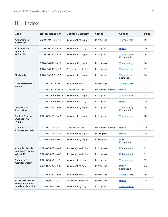# <span id="page-35-0"></span>III. Index

| Case                                                | Recommendation     | <b>Updated Category</b> | <b>Status</b>      | <b>Section</b>                    | Page |
|-----------------------------------------------------|--------------------|-------------------------|--------------------|-----------------------------------|------|
| Armenians in<br>Azerbaijan                          | 2020-003-FB-UA-1   | Implementing in part    | In progress        | Transparency                      | 16   |
| <b>Breast cancer</b>                                | 2020-004-IG-UA-2   | Implementing fully      | In progress        | Policy                            | 23   |
| symptoms<br>and nudity                              | 2020-004-IG-UA-3   | Implementing in part    | In progress        | <b>Transparency</b><br>Footnote 5 | 16   |
|                                                     | 2020-004-IG-UA-5   | Implementing in part    | In progress        | Transparency                      | 16   |
|                                                     | 2020-004-IG-UA-6   | Assessing feasibility   | In progress        | Transparency                      | 17   |
| Nazi quote                                          | 2020-005-FB-UA-1   | Implementing in part    | In progress        | <b>Transparency</b><br>Footnote 5 | 16   |
| <b>Former President</b><br>Trump                    | 2021-001-FB-FBR-11 | Implementing fully      | In progress        | Transparency                      | 17   |
|                                                     | 2021-001-FB-FBR-15 | No further action       | No further updates | Policy                            | 23   |
|                                                     | 2021-001-FB-FBR-18 | Implementing in part    | In progress        | Transparency                      | 18   |
|                                                     | 2021-001-FB-FBR-19 | Implementing fully      | In progress        | <b>Policy</b>                     | 24   |
| Depiction of<br><b>Zwarte Piet</b>                  | 2021-002-FB-UA-2   | Implementing in part    | In progress        | Transparency<br>Footnote 5        | 16   |
| <b>Punjabi Concerns</b><br>Over the RSS<br>in India | 2021-003-FB-UA-3   | Implementing in part    | In progress        | Transparency                      | 18   |
| January 2021<br><b>Protests in Russia</b>           | 2021-004-FB-UA-2   | No further action       | No further updates | Policy                            | 24   |
|                                                     | 2021-004-FB-UA-3   | Implementing in part    | In Progress        | <b>Policy</b>                     | 25   |
|                                                     | 2021-004-FB-UA-4   | Implementing in part    | In Progress        | <b>Policy</b><br>Footnote 9       | 25   |
| <b>Armenian People</b><br>and the Armenian          | 2021-005-FB-UA-4   | Assessing feasibility   | In progress        | Enforcement                       | 31   |
| Genocide                                            | 2021-005-FB-UA-5   | Assessing feasibility   | In progress        | Enforcement                       | 31   |
| Support of<br><b>Abdullah Ocalan</b>                | 2021-006-IG-UA-9   | Implementing fully      | In progress        | Transparency                      | 19   |
|                                                     | 2021-006-IG-UA-10  | Implementing fully      | In progress        | <b>Policy</b><br>Footnote 8       | 23   |
|                                                     | 2021-006-IG-UA-11  | Implementing fully      | In progress        | Transparency                      | 19   |
| Al Jazeera Post on<br><b>Tensions Between</b>       | 2021-009-FB-UA-1   | Assessing feasibility   | In progress        | <b>Policy</b>                     | 26   |
| <b>Israel and Palestine</b>                         | 2021-009-FB-UA-3   | Implementing fully      | In progress        | Transparency                      | 20   |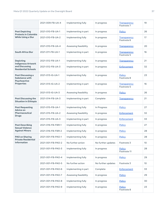|                                                            | 2021-009-FB-UA-4  | Implementing fully    | In progress        | <b>Transparency</b><br>Footnote 7 | 19 |
|------------------------------------------------------------|-------------------|-----------------------|--------------------|-----------------------------------|----|
| <b>Post Depicting</b>                                      | 2021-010-FB-UA-1  | Implementing in part  | In progress        | <b>Policy</b>                     | 26 |
| <b>Protests in Colombia</b><br><b>While Using a Slur</b>   | 2021-010-FB-UA-2  | Implementing fully    | In progress        | <b>Transparency</b><br>Footnote 6 | 17 |
|                                                            | 2021-010-FB-UA-4  | Assessing feasibility | In progress        | <b>Transparency</b>               | 20 |
| South Africa Slur                                          | 2021-011-FB-UA-1  | Implementing in part  | In progress        | Transparency<br>Footnote 5        | 16 |
| <b>Depicting</b><br><b>Indigenous Artwork</b>              | 2021-012-FB-UA-1  | Implementing fully    | In progress        | Transparency                      | 21 |
| and Discussing<br><b>Residential Schools</b>               | 2021-012-FB-UA-3  | Implementing in part  | In progress        | Enforcement                       | 32 |
| Post Discussing a<br><b>Substance with</b>                 | 2021-013-IG-UA-1  | Implementing fully    | In progress        | <b>Policy</b><br>Footnote 8       | 23 |
| Psychoactive<br><b>Properties</b>                          | 2021-013-IG-UA-2  | Implementing in part  | In progress        | <b>Transparency</b><br>Footnote 5 | 16 |
|                                                            | 2021-013-IG-UA-3  | Assessing feasibility | In progress        | Policy                            | 26 |
| <b>Post Discussing the</b><br><b>Situation in Ethiopia</b> | 2021-014-FB-UA-3  | Implementing in part  | Complete           | Transparency                      | 21 |
| <b>Post Requesting</b><br>Advice on                        | 2021-015-FB-UA-1  | Implementing fully    | In Progress        | <b>Policy</b>                     | 27 |
| Pharmaceutical<br><b>Drugs</b>                             | 2021-015-FB-UA-2  | Assessing feasibility | In progress        | Enforcement                       | 32 |
|                                                            | 2021-015-FB-UA-3  | Implementing in part  | In progress        | Enforcement                       | 33 |
| <b>Post Describing</b><br><b>Sexual Violence</b>           | 2021-016-FB-FBR-1 | Implementing fully    | In progress        | <b>Policy</b>                     | 27 |
| <b>Against Minors</b>                                      | 2021-016-FB-FBR-2 | Implementing fully    | In progress        | Policy                            | 28 |
| PAO on Sharing<br><b>Private Residential</b>               | 2021-001-FB-PAO-1 | Implementing fully    | In progress        | Policy                            | 28 |
| <b>Information</b>                                         | 2021-001-FB-PAO-2 | No further action     | No further updates | Footnote 3                        | 10 |
|                                                            | 2021-001-FB-PAO-3 | Implementing fully    | In progress        | <b>Policy</b><br>Footnote 11      | 28 |
|                                                            | 2021-001-FB-PAO-4 | Implementing fully    | In progress        | Policy                            | 29 |
|                                                            | 2021-001-FB-PAO-5 | No further action     | No further updates | Footnote 3                        | 10 |
|                                                            | 2021-001-FB-PAO-6 | Implementing in part  | Complete           | Enforcement                       | 33 |
|                                                            | 2021-001-FB-PAO-7 | Assessing feasibility | In progress        | <b>Policy</b>                     | 29 |
|                                                            | 2021-001-FB-PAO-8 | Implementing fully    | In progress        | Policy                            | 30 |
|                                                            | 2021-001-FB-PAO-9 | Implementing fully    | In progress        | Policy<br>Footnote 8              | 23 |